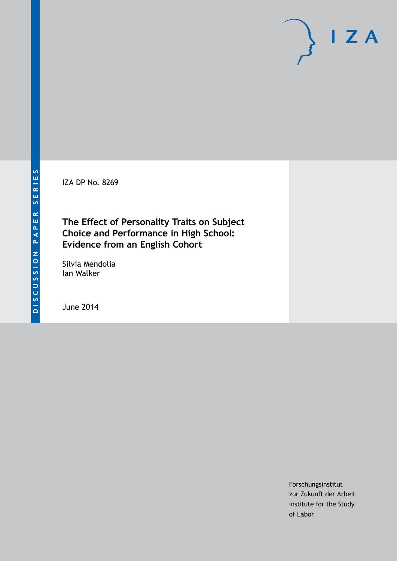IZA DP No. 8269

**The Effect of Personality Traits on Subject Choice and Performance in High School: Evidence from an English Cohort**

Silvia Mendolia Ian Walker

June 2014

Forschungsinstitut zur Zukunft der Arbeit Institute for the Study of Labor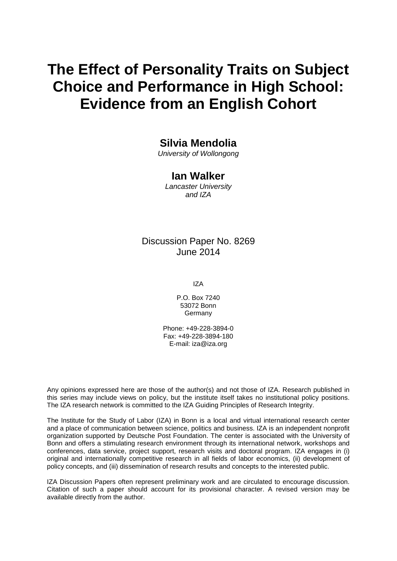# **The Effect of Personality Traits on Subject Choice and Performance in High School: Evidence from an English Cohort**

# **Silvia Mendolia**

*University of Wollongong*

#### **Ian Walker**

*Lancaster University and IZA*

# Discussion Paper No. 8269 June 2014

IZA

P.O. Box 7240 53072 Bonn **Germany** 

Phone: +49-228-3894-0 Fax: +49-228-3894-180 E-mail: [iza@iza.org](mailto:iza@iza.org)

Any opinions expressed here are those of the author(s) and not those of IZA. Research published in this series may include views on policy, but the institute itself takes no institutional policy positions. The IZA research network is committed to the IZA Guiding Principles of Research Integrity.

The Institute for the Study of Labor (IZA) in Bonn is a local and virtual international research center and a place of communication between science, politics and business. IZA is an independent nonprofit organization supported by Deutsche Post Foundation. The center is associated with the University of Bonn and offers a stimulating research environment through its international network, workshops and conferences, data service, project support, research visits and doctoral program. IZA engages in (i) original and internationally competitive research in all fields of labor economics, (ii) development of policy concepts, and (iii) dissemination of research results and concepts to the interested public.

IZA Discussion Papers often represent preliminary work and are circulated to encourage discussion. Citation of such a paper should account for its provisional character. A revised version may be available directly from the author.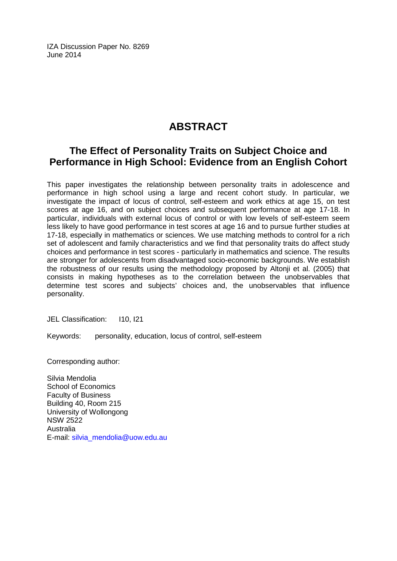IZA Discussion Paper No. 8269 June 2014

# **ABSTRACT**

# **The Effect of Personality Traits on Subject Choice and Performance in High School: Evidence from an English Cohort**

This paper investigates the relationship between personality traits in adolescence and performance in high school using a large and recent cohort study. In particular, we investigate the impact of locus of control, self-esteem and work ethics at age 15, on test scores at age 16, and on subject choices and subsequent performance at age 17-18. In particular, individuals with external locus of control or with low levels of self-esteem seem less likely to have good performance in test scores at age 16 and to pursue further studies at 17-18, especially in mathematics or sciences. We use matching methods to control for a rich set of adolescent and family characteristics and we find that personality traits do affect study choices and performance in test scores - particularly in mathematics and science. The results are stronger for adolescents from disadvantaged socio-economic backgrounds. We establish the robustness of our results using the methodology proposed by Altonji et al. (2005) that consists in making hypotheses as to the correlation between the unobservables that determine test scores and subjects' choices and, the unobservables that influence personality.

JEL Classification: I10, I21

Keywords: personality, education, locus of control, self-esteem

Corresponding author:

Silvia Mendolia School of Economics Faculty of Business Building 40, Room 215 University of Wollongong NSW 2522 Australia E-mail: [silvia\\_mendolia@uow.edu.au](mailto:silvia_mendolia@uow.edu.au)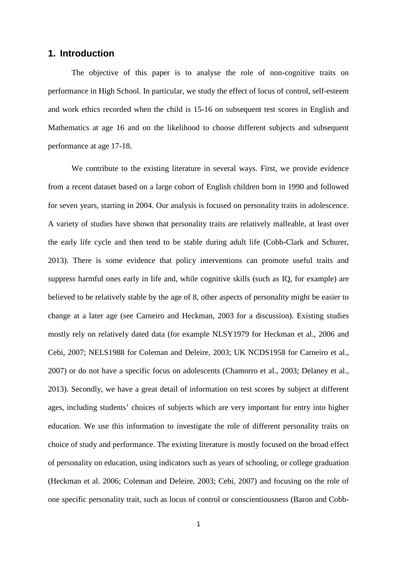#### **1. Introduction**

The objective of this paper is to analyse the role of non-cognitive traits on performance in High School. In particular, we study the effect of locus of control, self-esteem and work ethics recorded when the child is 15-16 on subsequent test scores in English and Mathematics at age 16 and on the likelihood to choose different subjects and subsequent performance at age 17-18.

We contribute to the existing literature in several ways. First, we provide evidence from a recent dataset based on a large cohort of English children born in 1990 and followed for seven years, starting in 2004. Our analysis is focused on personality traits in adolescence. A variety of studies have shown that personality traits are relatively malleable, at least over the early life cycle and then tend to be stable during adult life (Cobb-Clark and Schurer, 2013). There is some evidence that policy interventions can promote useful traits and suppress harmful ones early in life and, while cognitive skills (such as IQ, for example) are believed to be relatively stable by the age of 8, other aspects of personality might be easier to change at a later age (see Carneiro and Heckman, 2003 for a discussion). Existing studies mostly rely on relatively dated data (for example NLSY1979 for Heckman et al., 2006 and Cebi, 2007; NELS1988 for Coleman and Deleire, 2003; UK NCDS1958 for Carneiro et al., 2007) or do not have a specific focus on adolescents (Chamorro et al., 2003; Delaney et al., 2013). Secondly, we have a great detail of information on test scores by subject at different ages, including students' choices of subjects which are very important for entry into higher education. We use this information to investigate the role of different personality traits on choice of study and performance. The existing literature is mostly focused on the broad effect of personality on education, using indicators such as years of schooling, or college graduation (Heckman et al. 2006; Coleman and Deleire, 2003; Cebi, 2007) and focusing on the role of one specific personality trait, such as locus of control or conscientiousness (Baron and Cobb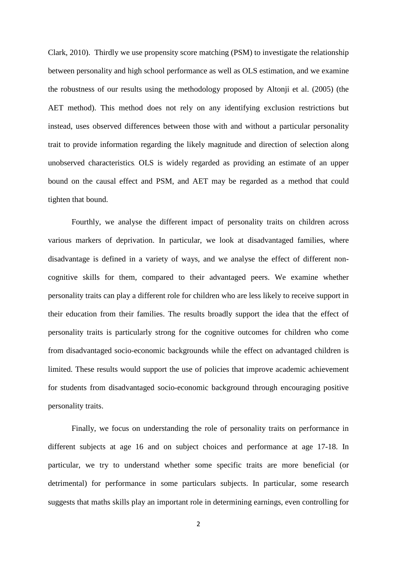Clark, 2010). Thirdly we use propensity score matching (PSM) to investigate the relationship between personality and high school performance as well as OLS estimation, and we examine the robustness of our results using the methodology proposed by Altonji et al. (2005) (the AET method). This method does not rely on any identifying exclusion restrictions but instead, uses observed differences between those with and without a particular personality trait to provide information regarding the likely magnitude and direction of selection along unobserved characteristics. OLS is widely regarded as providing an estimate of an upper bound on the causal effect and PSM, and AET may be regarded as a method that could tighten that bound.

Fourthly, we analyse the different impact of personality traits on children across various markers of deprivation. In particular, we look at disadvantaged families, where disadvantage is defined in a variety of ways, and we analyse the effect of different noncognitive skills for them, compared to their advantaged peers. We examine whether personality traits can play a different role for children who are less likely to receive support in their education from their families. The results broadly support the idea that the effect of personality traits is particularly strong for the cognitive outcomes for children who come from disadvantaged socio-economic backgrounds while the effect on advantaged children is limited. These results would support the use of policies that improve academic achievement for students from disadvantaged socio-economic background through encouraging positive personality traits.

Finally, we focus on understanding the role of personality traits on performance in different subjects at age 16 and on subject choices and performance at age 17-18. In particular, we try to understand whether some specific traits are more beneficial (or detrimental) for performance in some particulars subjects. In particular, some research suggests that maths skills play an important role in determining earnings, even controlling for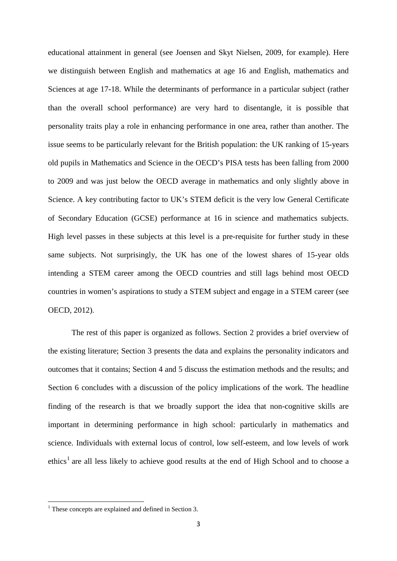educational attainment in general (see Joensen and Skyt Nielsen, 2009, for example). Here we distinguish between English and mathematics at age 16 and English, mathematics and Sciences at age 17-18. While the determinants of performance in a particular subject (rather than the overall school performance) are very hard to disentangle, it is possible that personality traits play a role in enhancing performance in one area, rather than another. The issue seems to be particularly relevant for the British population: the UK ranking of 15-years old pupils in Mathematics and Science in the OECD's PISA tests has been falling from 2000 to 2009 and was just below the OECD average in mathematics and only slightly above in Science. A key contributing factor to UK's STEM deficit is the very low General Certificate of Secondary Education (GCSE) performance at 16 in science and mathematics subjects. High level passes in these subjects at this level is a pre-requisite for further study in these same subjects. Not surprisingly, the UK has one of the lowest shares of 15-year olds intending a STEM career among the OECD countries and still lags behind most OECD countries in women's aspirations to study a STEM subject and engage in a STEM career (see OECD, 2012).

The rest of this paper is organized as follows. Section 2 provides a brief overview of the existing literature; Section 3 presents the data and explains the personality indicators and outcomes that it contains; Section 4 and 5 discuss the estimation methods and the results; and Section 6 concludes with a discussion of the policy implications of the work. The headline finding of the research is that we broadly support the idea that non-cognitive skills are important in determining performance in high school: particularly in mathematics and science. Individuals with external locus of control, low self-esteem, and low levels of work ethics<sup>1</sup> are all less likely to achieve good results at the end of High School and to choose a

<span id="page-5-0"></span><sup>&</sup>lt;sup>1</sup> These concepts are explained and defined in Section 3.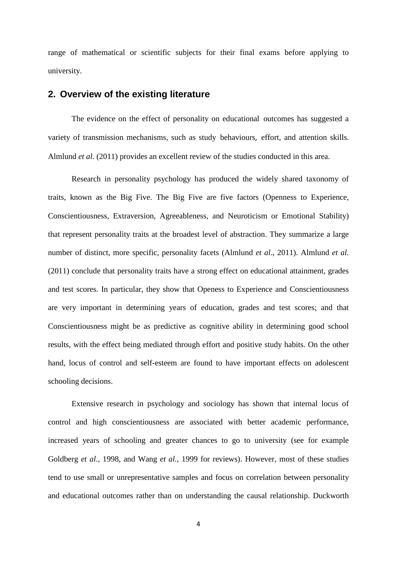range of mathematical or scientific subjects for their final exams before applying to university.

#### **2. Overview of the existing literature**

The evidence on the effect of personality on educational outcomes has suggested a variety of transmission mechanisms, such as study behaviours, effort, and attention skills. Almlund *et al*. (2011) provides an excellent review of the studies conducted in this area.

Research in personality psychology has produced the widely shared taxonomy of traits, known as the Big Five. The Big Five are five factors (Openness to Experience, Conscientiousness, Extraversion, Agreeableness, and Neuroticism or Emotional Stability) that represent personality traits at the broadest level of abstraction. They summarize a large number of distinct, more specific, personality facets (Almlund *et al*., 2011). Almlund *et al.* (2011) conclude that personality traits have a strong effect on educational attainment, grades and test scores. In particular, they show that Openess to Experience and Conscientiousness are very important in determining years of education, grades and test scores; and that Conscientiousness might be as predictive as cognitive ability in determining good school results, with the effect being mediated through effort and positive study habits. On the other hand, locus of control and self-esteem are found to have important effects on adolescent schooling decisions.

Extensive research in psychology and sociology has shown that internal locus of control and high conscientiousness are associated with better academic performance, increased years of schooling and greater chances to go to university (see for example Goldberg *et al.,* 1998, and Wang *et al.,* 1999 for reviews). However, most of these studies tend to use small or unrepresentative samples and focus on correlation between personality and educational outcomes rather than on understanding the causal relationship. Duckworth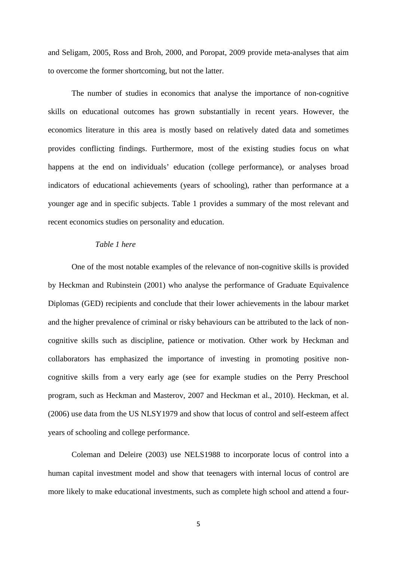and Seligam, 2005, Ross and Broh, 2000, and Poropat, 2009 provide meta-analyses that aim to overcome the former shortcoming, but not the latter.

The number of studies in economics that analyse the importance of non-cognitive skills on educational outcomes has grown substantially in recent years. However, the economics literature in this area is mostly based on relatively dated data and sometimes provides conflicting findings. Furthermore, most of the existing studies focus on what happens at the end on individuals' education (college performance), or analyses broad indicators of educational achievements (years of schooling), rather than performance at a younger age and in specific subjects. Table 1 provides a summary of the most relevant and recent economics studies on personality and education.

#### *Table 1 here*

One of the most notable examples of the relevance of non-cognitive skills is provided by Heckman and Rubinstein (2001) who analyse the performance of Graduate Equivalence Diplomas (GED) recipients and conclude that their lower achievements in the labour market and the higher prevalence of criminal or risky behaviours can be attributed to the lack of noncognitive skills such as discipline, patience or motivation. Other work by Heckman and collaborators has emphasized the importance of investing in promoting positive noncognitive skills from a very early age (see for example studies on the Perry Preschool program, such as Heckman and Masterov, 2007 and Heckman et al., 2010). Heckman, et al. (2006) use data from the US NLSY1979 and show that locus of control and self-esteem affect years of schooling and college performance.

Coleman and Deleire (2003) use NELS1988 to incorporate locus of control into a human capital investment model and show that teenagers with internal locus of control are more likely to make educational investments, such as complete high school and attend a four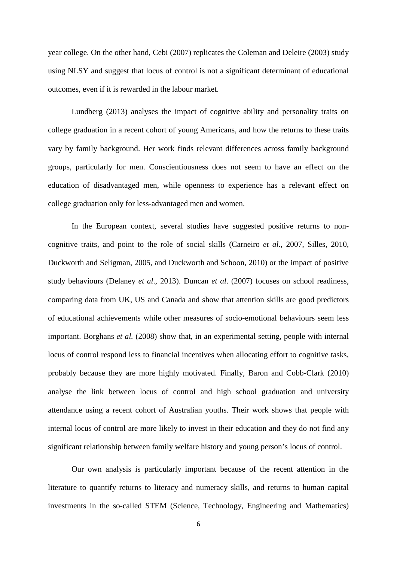year college. On the other hand, Cebi (2007) replicates the Coleman and Deleire (2003) study using NLSY and suggest that locus of control is not a significant determinant of educational outcomes, even if it is rewarded in the labour market.

Lundberg (2013) analyses the impact of cognitive ability and personality traits on college graduation in a recent cohort of young Americans, and how the returns to these traits vary by family background. Her work finds relevant differences across family background groups, particularly for men. Conscientiousness does not seem to have an effect on the education of disadvantaged men, while openness to experience has a relevant effect on college graduation only for less-advantaged men and women.

In the European context, several studies have suggested positive returns to noncognitive traits, and point to the role of social skills (Carneiro *et al*., 2007, Silles, 2010, Duckworth and Seligman, 2005, and Duckworth and Schoon, 2010) or the impact of positive study behaviours (Delaney *et al*., 2013). Duncan *et al*. (2007) focuses on school readiness, comparing data from UK, US and Canada and show that attention skills are good predictors of educational achievements while other measures of socio-emotional behaviours seem less important. Borghans *et al.* (2008) show that, in an experimental setting, people with internal locus of control respond less to financial incentives when allocating effort to cognitive tasks, probably because they are more highly motivated. Finally, Baron and Cobb-Clark (2010) analyse the link between locus of control and high school graduation and university attendance using a recent cohort of Australian youths. Their work shows that people with internal locus of control are more likely to invest in their education and they do not find any significant relationship between family welfare history and young person's locus of control.

Our own analysis is particularly important because of the recent attention in the literature to quantify returns to literacy and numeracy skills, and returns to human capital investments in the so-called STEM (Science, Technology, Engineering and Mathematics)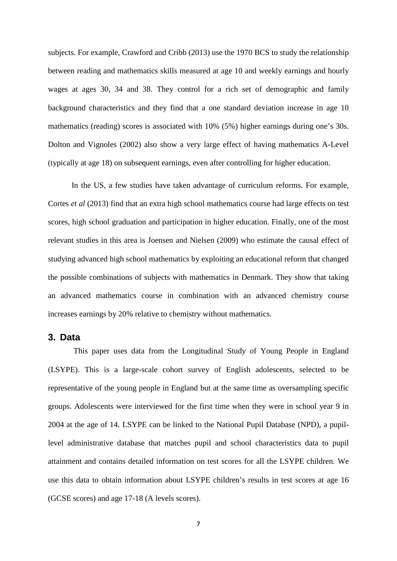subjects. For example, Crawford and Cribb (2013) use the 1970 BCS to study the relationship between reading and mathematics skills measured at age 10 and weekly earnings and hourly wages at ages 30, 34 and 38. They control for a rich set of demographic and family background characteristics and they find that a one standard deviation increase in age 10 mathematics (reading) scores is associated with 10% (5%) higher earnings during one's 30s. Dolton and Vignoles (2002) also show a very large effect of having mathematics A-Level (typically at age 18) on subsequent earnings, even after controlling for higher education.

In the US, a few studies have taken advantage of curriculum reforms. For example, Cortes *et al* (2013) find that an extra high school mathematics course had large effects on test scores, high school graduation and participation in higher education. Finally, one of the most relevant studies in this area is Joensen and Nielsen (2009) who estimate the causal effect of studying advanced high school mathematics by exploiting an educational reform that changed the possible combinations of subjects with mathematics in Denmark. They show that taking an advanced mathematics course in combination with an advanced chemistry course increases earnings by 20% relative to chemistry without mathematics.

#### **3. Data**

This paper uses data from the Longitudinal Study of Young People in England (LSYPE). This is a large-scale cohort survey of English adolescents, selected to be representative of the young people in England but at the same time as oversampling specific groups. Adolescents were interviewed for the first time when they were in school year 9 in 2004 at the age of 14. LSYPE can be linked to the National Pupil Database (NPD), a pupillevel administrative database that matches pupil and school characteristics data to pupil attainment and contains detailed information on test scores for all the LSYPE children. We use this data to obtain information about LSYPE children's results in test scores at age 16 (GCSE scores) and age 17-18 (A levels scores).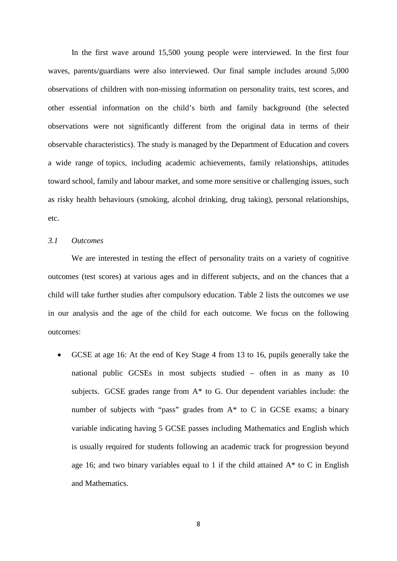In the first wave around 15,500 young people were interviewed. In the first four waves, parents/guardians were also interviewed. Our final sample includes around 5,000 observations of children with non-missing information on personality traits, test scores, and other essential information on the child's birth and family background (the selected observations were not significantly different from the original data in terms of their observable characteristics). The study is managed by the Department of Education and covers a wide range of topics, including academic achievements, family relationships, attitudes toward school, family and labour market, and some more sensitive or challenging issues, such as risky health behaviours (smoking, alcohol drinking, drug taking), personal relationships, etc.

#### *3.1 Outcomes*

We are interested in testing the effect of personality traits on a variety of cognitive outcomes (test scores) at various ages and in different subjects, and on the chances that a child will take further studies after compulsory education. Table 2 lists the outcomes we use in our analysis and the age of the child for each outcome. We focus on the following outcomes:

• GCSE at age 16: At the end of Key Stage 4 from 13 to 16, pupils generally take the national public GCSEs in most subjects studied – often in as many as 10 subjects. GCSE grades range from A\* to G. Our dependent variables include: the number of subjects with "pass" grades from  $A^*$  to C in GCSE exams; a binary variable indicating having 5 GCSE passes including Mathematics and English which is usually required for students following an academic track for progression beyond age 16; and two binary variables equal to 1 if the child attained  $A^*$  to C in English and Mathematics.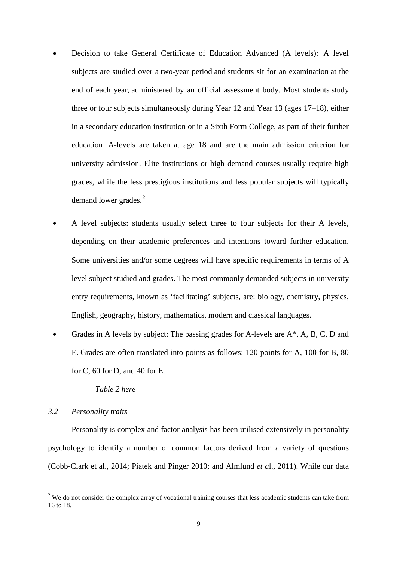- Decision to take General Certificate of Education Advanced (A levels): [A level](http://en.wikipedia.org/wiki/GCE_Advanced_Level_(United_Kingdom)#Subjects_offered)  [subjects](http://en.wikipedia.org/wiki/GCE_Advanced_Level_(United_Kingdom)#Subjects_offered) are studied over a [two-year period](http://en.wikipedia.org/wiki/GCE_Advanced_Level_(United_Kingdom)#Studying) and [students sit for an examination](http://en.wikipedia.org/wiki/GCE_Advanced_Level_(United_Kingdom)#Curriculum_2000) at the end of each year, [administered by an official assessment body.](http://en.wikipedia.org/wiki/GCE_Advanced_Level_(United_Kingdom)#Subjects_offered) Most students [study](http://en.wikipedia.org/wiki/GCE_Advanced_Level_(United_Kingdom)#Studying)  [three or four subjects](http://en.wikipedia.org/wiki/GCE_Advanced_Level_(United_Kingdom)#Studying) simultaneously during Year 12 and Year 13 (ages 17–18), either in a [secondary education](http://en.wikipedia.org/wiki/Secondary_education) institution or in a [Sixth Form College,](http://en.wikipedia.org/wiki/Sixth_Form_College) as part of their [further](http://en.wikipedia.org/wiki/Further_education)  [education](http://en.wikipedia.org/wiki/Further_education). A-levels are taken at age 18 and are the main admission criterion for university admission. Elite institutions or high demand courses usually require high grades, while the less prestigious institutions and less popular subjects will typically demand lower grades.<sup>[2](#page-5-0)</sup>
- A level subjects: students usually select three to four subjects for their A levels, depending on their academic preferences and intentions toward further education. Some universities and/or some degrees will have specific requirements in terms of A level subject studied and grades. The most commonly demanded subjects in university entry requirements, known as 'facilitating' subjects, are: biology, chemistry, physics, English, geography, history, mathematics, modern and classical languages.
- Grades in A levels by subject: The passing grades for A-levels are  $A^*$ , A, B, C, D and E. Grades are often translated into points as follows: 120 points for A, 100 for B, 80 for C, 60 for D, and 40 for E.

*Table 2 here*

#### *3.2 Personality traits*

Personality is complex and factor analysis has been utilised extensively in personality psychology to identify a number of common factors derived from a variety of questions (Cobb-Clark et al., 2014; Piatek and Pinger 2010; and Almlund *et a*l., 2011). While our data

<span id="page-11-0"></span><sup>&</sup>lt;sup>2</sup> We do not consider the complex array of vocational training courses that less academic students can take from 16 to 18.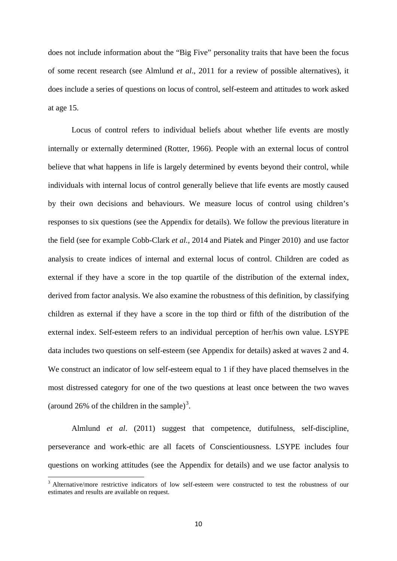does not include information about the "Big Five" personality traits that have been the focus of some recent research (see Almlund *et al*., 2011 for a review of possible alternatives), it does include a series of questions on locus of control, self-esteem and attitudes to work asked at age 15.

Locus of control refers to individual beliefs about whether life events are mostly internally or externally determined (Rotter, 1966). People with an external locus of control believe that what happens in life is largely determined by events beyond their control, while individuals with internal locus of control generally believe that life events are mostly caused by their own decisions and behaviours. We measure locus of control using children's responses to six questions (see the Appendix for details). We follow the previous literature in the field (see for example Cobb-Clark *et al.,* 2014 and Piatek and Pinger 2010) and use factor analysis to create indices of internal and external locus of control. Children are coded as external if they have a score in the top quartile of the distribution of the external index, derived from factor analysis. We also examine the robustness of this definition, by classifying children as external if they have a score in the top third or fifth of the distribution of the external index. Self-esteem refers to an individual perception of her/his own value. LSYPE data includes two questions on self-esteem (see Appendix for details) asked at waves 2 and 4. We construct an indicator of low self-esteem equal to 1 if they have placed themselves in the most distressed category for one of the two questions at least once between the two waves (around 26% of the children in the sample)<sup>[3](#page-11-0)</sup>.

Almlund *et al*. (2011) suggest that competence, dutifulness, self-discipline, perseverance and work-ethic are all facets of Conscientiousness. LSYPE includes four questions on working attitudes (see the Appendix for details) and we use factor analysis to

<span id="page-12-0"></span><sup>&</sup>lt;sup>3</sup> Alternative/more restrictive indicators of low self-esteem were constructed to test the robustness of our estimates and results are available on request.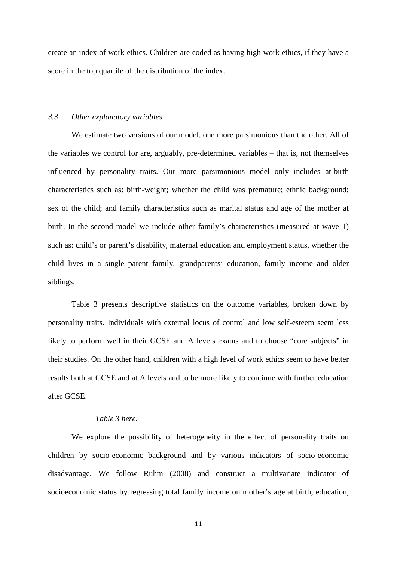create an index of work ethics. Children are coded as having high work ethics, if they have a score in the top quartile of the distribution of the index.

#### *3.3 Other explanatory variables*

We estimate two versions of our model, one more parsimonious than the other. All of the variables we control for are, arguably, pre-determined variables – that is, not themselves influenced by personality traits. Our more parsimonious model only includes at-birth characteristics such as: birth-weight; whether the child was premature; ethnic background; sex of the child; and family characteristics such as marital status and age of the mother at birth. In the second model we include other family's characteristics (measured at wave 1) such as: child's or parent's disability, maternal education and employment status, whether the child lives in a single parent family, grandparents' education, family income and older siblings.

Table 3 presents descriptive statistics on the outcome variables, broken down by personality traits. Individuals with external locus of control and low self-esteem seem less likely to perform well in their GCSE and A levels exams and to choose "core subjects" in their studies. On the other hand, children with a high level of work ethics seem to have better results both at GCSE and at A levels and to be more likely to continue with further education after GCSE.

#### *Table 3 here.*

We explore the possibility of heterogeneity in the effect of personality traits on children by socio-economic background and by various indicators of socio-economic disadvantage. We follow Ruhm (2008) and construct a multivariate indicator of socioeconomic status by regressing total family income on mother's age at birth, education,

11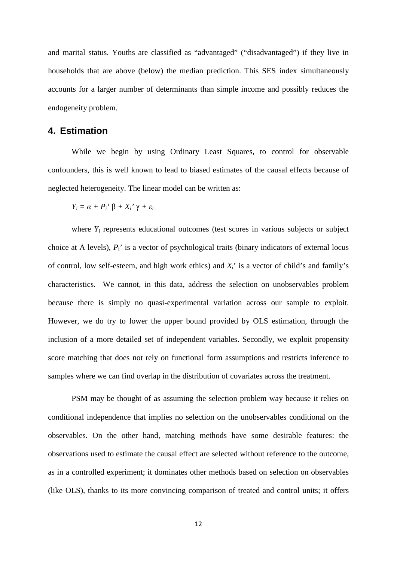and marital status. Youths are classified as "advantaged" ("disadvantaged") if they live in households that are above (below) the median prediction. This SES index simultaneously accounts for a larger number of determinants than simple income and possibly reduces the endogeneity problem.

#### **4. Estimation**

While we begin by using Ordinary Least Squares, to control for observable confounders, this is well known to lead to biased estimates of the causal effects because of neglected heterogeneity. The linear model can be written as:

$$
Y_i = \alpha + P_i' \beta + X_i' \gamma + \varepsilon_i
$$

where  $Y_i$  represents educational outcomes (test scores in various subjects or subject choice at A levels),  $P_i$ <sup>'</sup> is a vector of psychological traits (binary indicators of external locus of control, low self-esteem, and high work ethics) and  $X_i$  is a vector of child's and family's characteristics. We cannot, in this data, address the selection on unobservables problem because there is simply no quasi-experimental variation across our sample to exploit. However, we do try to lower the upper bound provided by OLS estimation, through the inclusion of a more detailed set of independent variables. Secondly, we exploit propensity score matching that does not rely on functional form assumptions and restricts inference to samples where we can find overlap in the distribution of covariates across the treatment.

PSM may be thought of as assuming the selection problem way because it relies on conditional independence that implies no selection on the unobservables conditional on the observables. On the other hand, matching methods have some desirable features: the observations used to estimate the causal effect are selected without reference to the outcome, as in a controlled experiment; it dominates other methods based on selection on observables (like OLS), thanks to its more convincing comparison of treated and control units; it offers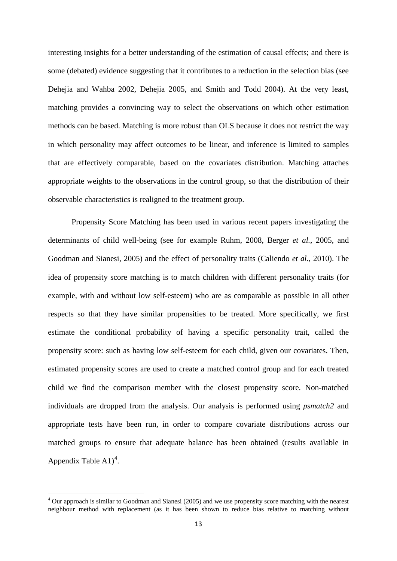interesting insights for a better understanding of the estimation of causal effects; and there is some (debated) evidence suggesting that it contributes to a reduction in the selection bias (see Dehejia and Wahba 2002, Dehejia 2005, and Smith and Todd 2004). At the very least, matching provides a convincing way to select the observations on which other estimation methods can be based. Matching is more robust than OLS because it does not restrict the way in which personality may affect outcomes to be linear, and inference is limited to samples that are effectively comparable, based on the covariates distribution. Matching attaches appropriate weights to the observations in the control group, so that the distribution of their observable characteristics is realigned to the treatment group.

Propensity Score Matching has been used in various recent papers investigating the determinants of child well-being (see for example Ruhm, 2008, Berger *et al.,* 2005, and Goodman and Sianesi, 2005) and the effect of personality traits (Caliendo *et al*., 2010). The idea of propensity score matching is to match children with different personality traits (for example, with and without low self-esteem) who are as comparable as possible in all other respects so that they have similar propensities to be treated. More specifically, we first estimate the conditional probability of having a specific personality trait, called the propensity score: such as having low self-esteem for each child, given our covariates. Then, estimated propensity scores are used to create a matched control group and for each treated child we find the comparison member with the closest propensity score. Non-matched individuals are dropped from the analysis. Our analysis is performed using *psmatch2* and appropriate tests have been run, in order to compare covariate distributions across our matched groups to ensure that adequate balance has been obtained (results available in Appendix Table  $A1$ <sup>[4](#page-12-0)</sup>.

<sup>&</sup>lt;sup>4</sup> Our approach is similar to Goodman and Sianesi (2005) and we use propensity score matching with the nearest neighbour method with replacement (as it has been shown to reduce bias relative to matching without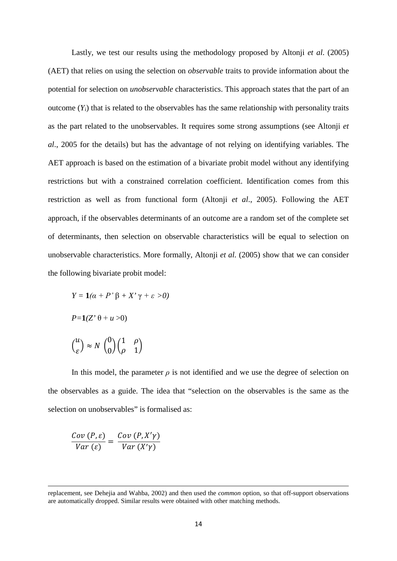Lastly, we test our results using the methodology proposed by Altonji *et al*. (2005) (AET) that relies on using the selection on *observable* traits to provide information about the potential for selection on *unobservable* characteristics. This approach states that the part of an outcome  $(Y_i)$  that is related to the observables has the same relationship with personality traits as the part related to the unobservables. It requires some strong assumptions (see Altonji *et al*., 2005 for the details) but has the advantage of not relying on identifying variables. The AET approach is based on the estimation of a bivariate probit model without any identifying restrictions but with a constrained correlation coefficient. Identification comes from this restriction as well as from functional form (Altonji *et al*., 2005). Following the AET approach, if the observables determinants of an outcome are a random set of the complete set of determinants, then selection on observable characteristics will be equal to selection on unobservable characteristics. More formally, Altonji *et al.* (2005) show that we can consider the following bivariate probit model:

$$
Y = \mathbf{1}(\alpha + P' \beta + X' \gamma + \varepsilon > 0)
$$
  
\n
$$
P = \mathbf{1}(Z' \theta + u > 0)
$$
  
\n
$$
\binom{u}{\varepsilon} \approx N \binom{0}{0} \binom{1}{\rho} \frac{\rho}{1}
$$

In this model, the parameter  $\rho$  is not identified and we use the degree of selection on the observables as a guide. The idea that "selection on the observables is the same as the selection on unobservables" is formalised as:

$$
\frac{Cov(P, \varepsilon)}{Var(\varepsilon)} = \frac{Cov(P, X'\gamma)}{Var(X'\gamma)}
$$

**.** 

replacement, see Dehejia and Wahba, 2002) and then used the *common* option, so that off-support observations are automatically dropped. Similar results were obtained with other matching methods.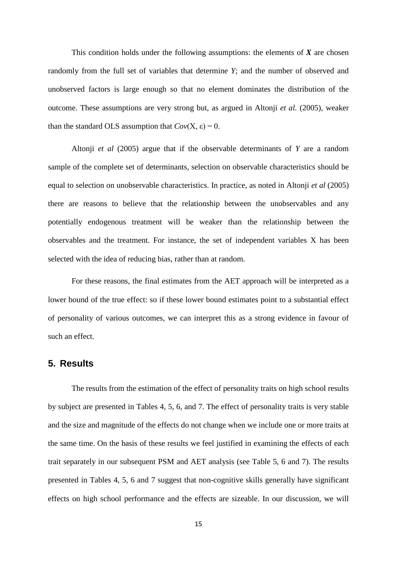This condition holds under the following assumptions: the elements of *X* are chosen randomly from the full set of variables that determine *Y*; and the number of observed and unobserved factors is large enough so that no element dominates the distribution of the outcome. These assumptions are very strong but, as argued in Altonji *et al.* (2005), weaker than the standard OLS assumption that  $Cov(X, \varepsilon) = 0$ .

Altonji *et al* (2005) argue that if the observable determinants of *Y* are a random sample of the complete set of determinants, selection on observable characteristics should be equal to selection on unobservable characteristics. In practice, as noted in Altonji *et al* (2005) there are reasons to believe that the relationship between the unobservables and any potentially endogenous treatment will be weaker than the relationship between the observables and the treatment. For instance, the set of independent variables X has been selected with the idea of reducing bias, rather than at random.

For these reasons, the final estimates from the AET approach will be interpreted as a lower bound of the true effect: so if these lower bound estimates point to a substantial effect of personality of various outcomes, we can interpret this as a strong evidence in favour of such an effect.

#### **5. Results**

The results from the estimation of the effect of personality traits on high school results by subject are presented in Tables 4, 5, 6, and 7. The effect of personality traits is very stable and the size and magnitude of the effects do not change when we include one or more traits at the same time. On the basis of these results we feel justified in examining the effects of each trait separately in our subsequent PSM and AET analysis (see Table 5, 6 and 7). The results presented in Tables 4, 5, 6 and 7 suggest that non-cognitive skills generally have significant effects on high school performance and the effects are sizeable. In our discussion, we will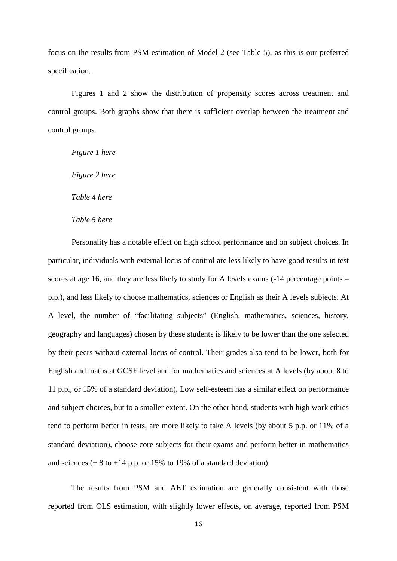focus on the results from PSM estimation of Model 2 (see Table 5), as this is our preferred specification.

Figures 1 and 2 show the distribution of propensity scores across treatment and control groups. Both graphs show that there is sufficient overlap between the treatment and control groups.

*Figure 1 here*

*Figure 2 here*

*Table 4 here*

*Table 5 here*

Personality has a notable effect on high school performance and on subject choices. In particular, individuals with external locus of control are less likely to have good results in test scores at age 16, and they are less likely to study for A levels exams (-14 percentage points – p.p.), and less likely to choose mathematics, sciences or English as their A levels subjects. At A level, the number of "facilitating subjects" (English, mathematics, sciences, history, geography and languages) chosen by these students is likely to be lower than the one selected by their peers without external locus of control. Their grades also tend to be lower, both for English and maths at GCSE level and for mathematics and sciences at A levels (by about 8 to 11 p.p., or 15% of a standard deviation). Low self-esteem has a similar effect on performance and subject choices, but to a smaller extent. On the other hand, students with high work ethics tend to perform better in tests, are more likely to take A levels (by about 5 p.p. or 11% of a standard deviation), choose core subjects for their exams and perform better in mathematics and sciences  $(+ 8 \text{ to } +14 \text{ p.p. or } 15\% \text{ to } 19\% \text{ of a standard deviation}).$ 

The results from PSM and AET estimation are generally consistent with those reported from OLS estimation, with slightly lower effects, on average, reported from PSM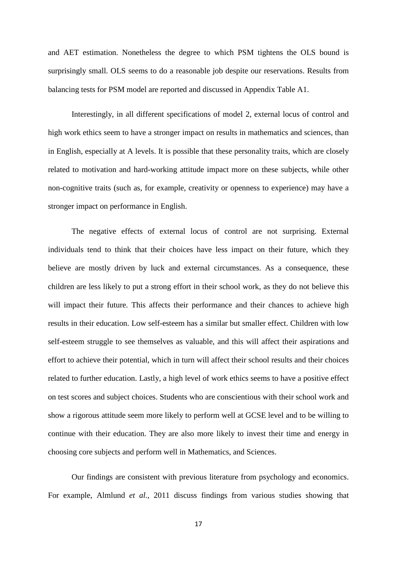and AET estimation. Nonetheless the degree to which PSM tightens the OLS bound is surprisingly small. OLS seems to do a reasonable job despite our reservations. Results from balancing tests for PSM model are reported and discussed in Appendix Table A1.

Interestingly, in all different specifications of model 2, external locus of control and high work ethics seem to have a stronger impact on results in mathematics and sciences, than in English, especially at A levels. It is possible that these personality traits, which are closely related to motivation and hard-working attitude impact more on these subjects, while other non-cognitive traits (such as, for example, creativity or openness to experience) may have a stronger impact on performance in English.

The negative effects of external locus of control are not surprising. External individuals tend to think that their choices have less impact on their future, which they believe are mostly driven by luck and external circumstances. As a consequence, these children are less likely to put a strong effort in their school work, as they do not believe this will impact their future. This affects their performance and their chances to achieve high results in their education. Low self-esteem has a similar but smaller effect. Children with low self-esteem struggle to see themselves as valuable, and this will affect their aspirations and effort to achieve their potential, which in turn will affect their school results and their choices related to further education. Lastly, a high level of work ethics seems to have a positive effect on test scores and subject choices. Students who are conscientious with their school work and show a rigorous attitude seem more likely to perform well at GCSE level and to be willing to continue with their education. They are also more likely to invest their time and energy in choosing core subjects and perform well in Mathematics, and Sciences.

Our findings are consistent with previous literature from psychology and economics. For example, Almlund *et al.,* 2011 discuss findings from various studies showing that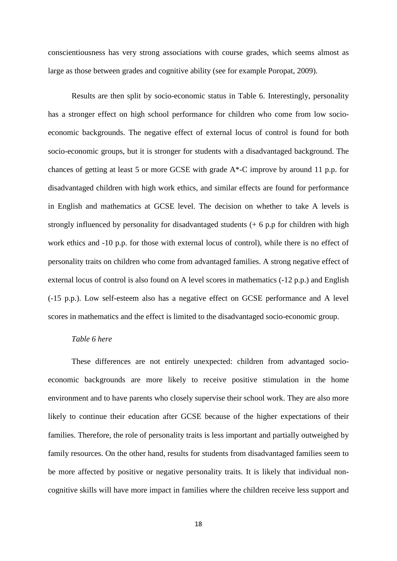conscientiousness has very strong associations with course grades, which seems almost as large as those between grades and cognitive ability (see for example Poropat, 2009).

Results are then split by socio-economic status in Table 6. Interestingly, personality has a stronger effect on high school performance for children who come from low socioeconomic backgrounds. The negative effect of external locus of control is found for both socio-economic groups, but it is stronger for students with a disadvantaged background. The chances of getting at least 5 or more GCSE with grade A\*-C improve by around 11 p.p. for disadvantaged children with high work ethics, and similar effects are found for performance in English and mathematics at GCSE level. The decision on whether to take A levels is strongly influenced by personality for disadvantaged students (+ 6 p.p for children with high work ethics and -10 p.p. for those with external locus of control), while there is no effect of personality traits on children who come from advantaged families. A strong negative effect of external locus of control is also found on A level scores in mathematics (-12 p.p.) and English (-15 p.p.). Low self-esteem also has a negative effect on GCSE performance and A level scores in mathematics and the effect is limited to the disadvantaged socio-economic group.

#### *Table 6 here*

These differences are not entirely unexpected: children from advantaged socioeconomic backgrounds are more likely to receive positive stimulation in the home environment and to have parents who closely supervise their school work. They are also more likely to continue their education after GCSE because of the higher expectations of their families. Therefore, the role of personality traits is less important and partially outweighed by family resources. On the other hand, results for students from disadvantaged families seem to be more affected by positive or negative personality traits. It is likely that individual noncognitive skills will have more impact in families where the children receive less support and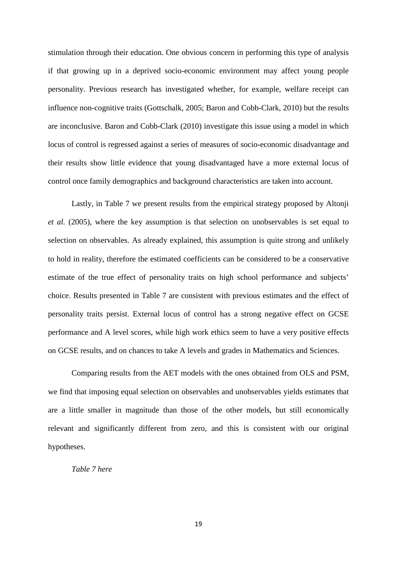stimulation through their education. One obvious concern in performing this type of analysis if that growing up in a deprived socio-economic environment may affect young people personality. Previous research has investigated whether, for example, welfare receipt can influence non-cognitive traits (Gottschalk, 2005; Baron and Cobb-Clark, 2010) but the results are inconclusive. Baron and Cobb-Clark (2010) investigate this issue using a model in which locus of control is regressed against a series of measures of socio-economic disadvantage and their results show little evidence that young disadvantaged have a more external locus of control once family demographics and background characteristics are taken into account.

Lastly, in Table 7 we present results from the empirical strategy proposed by Altonji *et al.* (2005), where the key assumption is that selection on unobservables is set equal to selection on observables. As already explained, this assumption is quite strong and unlikely to hold in reality, therefore the estimated coefficients can be considered to be a conservative estimate of the true effect of personality traits on high school performance and subjects' choice. Results presented in Table 7 are consistent with previous estimates and the effect of personality traits persist. External locus of control has a strong negative effect on GCSE performance and A level scores, while high work ethics seem to have a very positive effects on GCSE results, and on chances to take A levels and grades in Mathematics and Sciences.

Comparing results from the AET models with the ones obtained from OLS and PSM, we find that imposing equal selection on observables and unobservables yields estimates that are a little smaller in magnitude than those of the other models, but still economically relevant and significantly different from zero, and this is consistent with our original hypotheses.

*Table 7 here*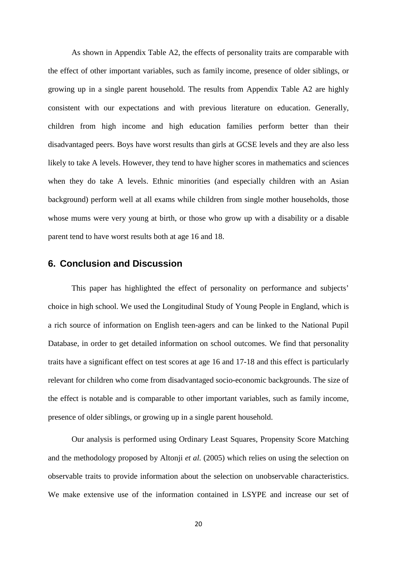As shown in Appendix Table A2, the effects of personality traits are comparable with the effect of other important variables, such as family income, presence of older siblings, or growing up in a single parent household. The results from Appendix Table A2 are highly consistent with our expectations and with previous literature on education. Generally, children from high income and high education families perform better than their disadvantaged peers. Boys have worst results than girls at GCSE levels and they are also less likely to take A levels. However, they tend to have higher scores in mathematics and sciences when they do take A levels. Ethnic minorities (and especially children with an Asian background) perform well at all exams while children from single mother households, those whose mums were very young at birth, or those who grow up with a disability or a disable parent tend to have worst results both at age 16 and 18.

#### **6. Conclusion and Discussion**

This paper has highlighted the effect of personality on performance and subjects' choice in high school. We used the Longitudinal Study of Young People in England, which is a rich source of information on English teen-agers and can be linked to the National Pupil Database, in order to get detailed information on school outcomes. We find that personality traits have a significant effect on test scores at age 16 and 17-18 and this effect is particularly relevant for children who come from disadvantaged socio-economic backgrounds. The size of the effect is notable and is comparable to other important variables, such as family income, presence of older siblings, or growing up in a single parent household.

Our analysis is performed using Ordinary Least Squares, Propensity Score Matching and the methodology proposed by Altonji *et al.* (2005) which relies on using the selection on observable traits to provide information about the selection on unobservable characteristics. We make extensive use of the information contained in LSYPE and increase our set of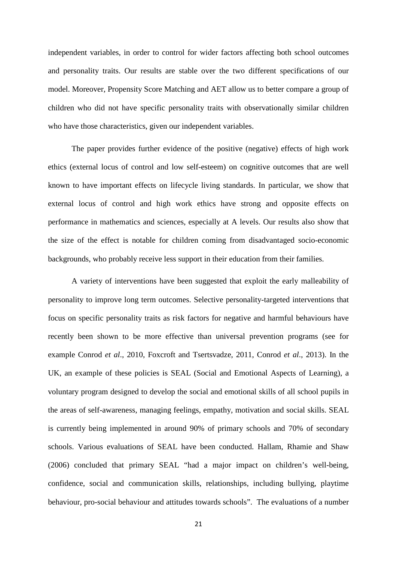independent variables, in order to control for wider factors affecting both school outcomes and personality traits. Our results are stable over the two different specifications of our model. Moreover, Propensity Score Matching and AET allow us to better compare a group of children who did not have specific personality traits with observationally similar children who have those characteristics, given our independent variables.

The paper provides further evidence of the positive (negative) effects of high work ethics (external locus of control and low self-esteem) on cognitive outcomes that are well known to have important effects on lifecycle living standards. In particular, we show that external locus of control and high work ethics have strong and opposite effects on performance in mathematics and sciences, especially at A levels. Our results also show that the size of the effect is notable for children coming from disadvantaged socio-economic backgrounds, who probably receive less support in their education from their families.

A variety of interventions have been suggested that exploit the early malleability of personality to improve long term outcomes. Selective personality-targeted interventions that focus on specific personality traits as risk factors for negative and harmful behaviours have recently been shown to be more effective than universal prevention programs (see for example Conrod *et al*., 2010, Foxcroft and Tsertsvadze, 2011, Conrod *et al*., 2013). In the UK, an example of these policies is SEAL (Social and Emotional Aspects of Learning), a voluntary program designed to develop the social and emotional skills of all school pupils in the areas of self-awareness, managing feelings, empathy, motivation and social skills. SEAL is currently being implemented in around 90% of primary schools and 70% of secondary schools. Various evaluations of SEAL have been conducted. Hallam, Rhamie and Shaw (2006) concluded that primary SEAL "had a major impact on children's well-being, confidence, social and communication skills, relationships, including bullying, playtime behaviour, pro-social behaviour and attitudes towards schools". The evaluations of a number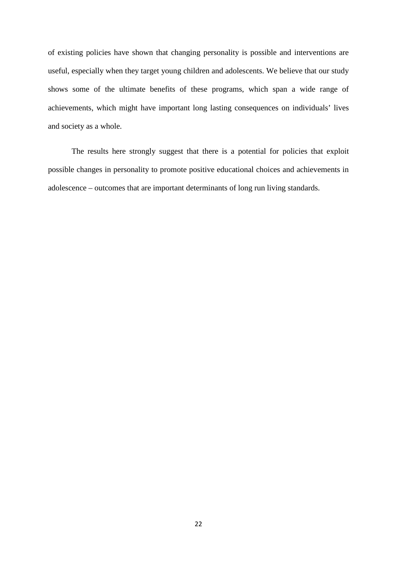of existing policies have shown that changing personality is possible and interventions are useful, especially when they target young children and adolescents. We believe that our study shows some of the ultimate benefits of these programs, which span a wide range of achievements, which might have important long lasting consequences on individuals' lives and society as a whole.

The results here strongly suggest that there is a potential for policies that exploit possible changes in personality to promote positive educational choices and achievements in adolescence – outcomes that are important determinants of long run living standards.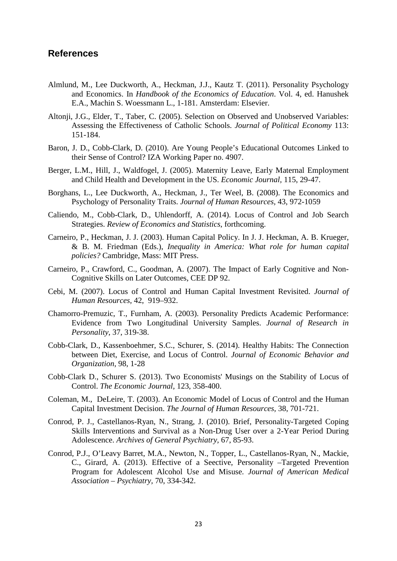#### **References**

- Almlund, M., Lee Duckworth, A., Heckman, J.J., Kautz T. (2011). Personality Psychology and Economics. In *Handbook of the Economics of Education*. Vol. 4, ed. Hanushek E.A., Machin S. Woessmann L., 1-181. Amsterdam: Elsevier.
- Altonji, J.G., Elder, T., Taber, C. (2005). Selection on Observed and Unobserved Variables: Assessing the Effectiveness of Catholic Schools. *Journal of Political Economy* 113: 151-184.
- Baron, J. D., Cobb-Clark, D. (2010). Are Young People's Educational Outcomes Linked to their Sense of Control? IZA Working Paper no. 4907.
- Berger, L.M., Hill, J., Waldfogel, J. (2005). Maternity Leave, Early Maternal Employment and Child Health and Development in the US. *Economic Journal,* 115, 29-47.
- Borghans, L., Lee Duckworth, A., Heckman, J., Ter Weel, B. (2008). The Economics and Psychology of Personality Traits. *Journal of Human Resources,* 43, 972-1059
- Caliendo, M., Cobb-Clark, D., Uhlendorff, A. (2014). Locus of Control and Job Search Strategies. *Review of Economics and Statistics*, forthcoming.
- Carneiro, P., Heckman, J. J. (2003). Human Capital Policy. In J. J. Heckman, A. B. Krueger, & B. M. Friedman (Eds.), *Inequality in America: What role for human capital policies?* Cambridge, Mass: MIT Press.
- Carneiro, P., Crawford, C., Goodman, A. (2007). The Impact of Early Cognitive and Non-Cognitive Skills on Later Outcomes, CEE DP 92.
- Cebi, M. (2007). Locus of Control and Human Capital Investment Revisited. *Journal of Human Resources,* 42, 919–932.
- Chamorro-Premuzic, T., Furnham, A. (2003). Personality Predicts Academic Performance: Evidence from Two Longitudinal University Samples. *Journal of Research in Personality*, 37, 319-38.
- Cobb-Clark, D., Kassenboehmer, S.C., Schurer, S. (2014). Healthy Habits: The Connection between Diet, Exercise, and Locus of Control. *Journal of Economic Behavior and Organization*, 98, 1-28
- Cobb-Clark D., Schurer S. (2013). Two Economists' Musings on the Stability of Locus of Control. *The Economic Journal,* 123, 358-400.
- Coleman, M., DeLeire, T. (2003). An Economic Model of Locus of Control and the Human Capital Investment Decision. *The Journal of Human Resources,* 38, 701-721.
- Conrod, P. J., Castellanos-Ryan, N., [Strang, J. \(2010\). Brief, Personality-Targeted Coping](http://www.ncbi.nlm.nih.gov/pubmed/20048226)  [Skills Interventions and Survival as a Non-Drug User over a 2-Year Period During](http://www.ncbi.nlm.nih.gov/pubmed/20048226)  Adolescence. *[Archives of General Psychiatry,](http://www.ncbi.nlm.nih.gov/pubmed/20048226)* 67, 85-93.
- Conrod, P.J., O'Leavy Barret, M.A., Newton, N., Topper, L., Castellanos-Ryan, N., Mackie, C., Girard, A. (2013). Effective of a Seective, Personality –Targeted Prevention Program for Adolescent Alcohol Use and Misuse. *Journal of American Medical Association – Psychiatry,* 70, 334-342.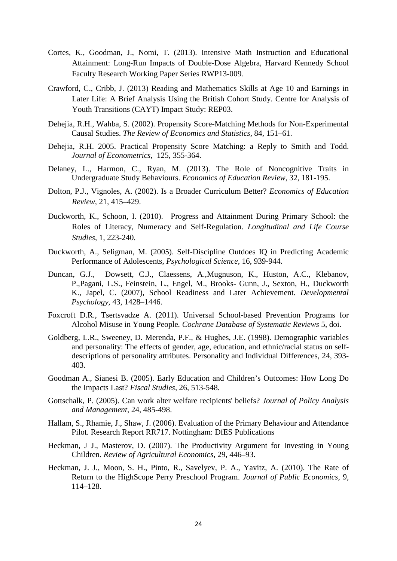- Cortes, K., Goodman, J., Nomi, T. (2013). Intensive Math Instruction and Educational Attainment: Long-Run Impacts of Double-Dose Algebra, Harvard Kennedy School Faculty Research Working Paper Series RWP13-009.
- Crawford, C., Cribb, J. (2013) Reading and Mathematics Skills at Age 10 and Earnings in Later Life: A Brief Analysis Using the British Cohort Study. Centre for Analysis of Youth Transitions (CAYT) Impact Study: REP03.
- Dehejia, R.H., Wahba, S. (2002). Propensity Score-Matching Methods for Non-Experimental Causal Studies. *The Review of Economics and Statistics,* 84, 151–61.
- Dehejia, R.H. 2005. Practical Propensity Score Matching: a Reply to Smith and Todd. *Journal of Econometrics,* 125, 355-364.
- Delaney, L., Harmon, C., Ryan, M. (2013). The Role of Noncognitive Traits in Undergraduate Study Behaviours. *Economics of Education Review*, 32, 181-195.
- Dolton, P.J., Vignoles, A. (2002). Is a Broader Curriculum Better? *Economics of Education Review*, 21, 415–429.
- Duckworth, K., Schoon, I. (2010). Progress and Attainment During Primary School: the Roles of Literacy, Numeracy and Self-Regulation. *Longitudinal and Life Course Studies*, 1, 223-240.
- Duckworth, A., Seligman, M. (2005). Self-Discipline Outdoes IQ in Predicting Academic Performance of Adolescents, *Psychological Science,* 16, 939-944.
- Duncan, G.J., Dowsett, C.J., Claessens, A.,Mugnuson, K., Huston, A.C., Klebanov, P.,Pagani, L.S., Feinstein, L., Engel, M., Brooks- Gunn, J., Sexton, H., Duckworth K., Japel, C. (2007), School Readiness and Later Achievement. *Developmental Psychology,* 43, 1428–1446.
- Foxcroft D.R., Tsertsvadze A. (2011). Universal School-based Prevention Programs for Alcohol Misuse in Young People*. Cochrane Database of Systematic Reviews* 5, doi.
- Goldberg, L.R., Sweeney, D. Merenda, P.F., & Hughes, J.E. (1998). Demographic variables and personality: The effects of gender, age, education, and ethnic/racial status on selfdescriptions of personality attributes. Personality and Individual Differences, 24, 393- 403.
- Goodman A., Sianesi B. (2005). Early Education and Children's Outcomes: How Long Do the Impacts Last? *Fiscal Studies,* 26, 513-548.
- Gottschalk, P. (2005). Can work alter welfare recipients' beliefs? *Journal of Policy Analysis and Management,* 24, 485-498.
- Hallam, S., Rhamie, J., Shaw, J. (2006). Evaluation of the Primary Behaviour and Attendance Pilot. Research Report RR717. Nottingham: DfES Publications
- Heckman, J J., Masterov, D. (2007). The Productivity Argument for Investing in Young Children. *Review of Agricultural Economics,* 29, 446–93.
- Heckman, J. J., Moon, S. H., Pinto, R., Savelyev, P. A., Yavitz, A. (2010). The Rate of Return to the HighScope Perry Preschool Program. *Journal of Public Economics*, 9, 114–128.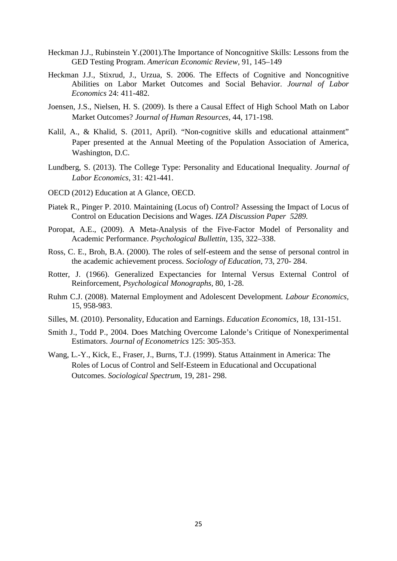- Heckman J.J., Rubinstein Y.(2001).The Importance of Noncognitive Skills: Lessons from the GED Testing Program. *American Economic Review,* 91, 145–149
- Heckman J.J., Stixrud, J., Urzua, S. 2006. The Effects of Cognitive and Noncognitive Abilities on Labor Market Outcomes and Social Behavior. *Journal of Labor Economics* 24: 411-482.
- Joensen, J.S., Nielsen, H. S. (2009). Is there a Causal Effect of High School Math on Labor Market Outcomes? *Journal of Human Resources*, 44, 171-198.
- Kalil, A., & Khalid, S. (2011, April). "Non-cognitive skills and educational attainment" Paper presented at the Annual Meeting of the Population Association of America, Washington, D.C.
- Lundberg, S. (2013). The College Type: Personality and Educational Inequality. *Journal of Labor Economics,* 31: 421-441.
- OECD (2012) Education at A Glance, OECD.
- Piatek R., Pinger P. 2010. Maintaining (Locus of) Control? Assessing the Impact of Locus of Control on Education Decisions and Wages. *IZA Discussion Paper 5289.*
- Poropat, A.E., (2009). A Meta-Analysis of the Five-Factor Model of Personality and Academic Performance. *Psychological Bullettin*, 135, 322–338.
- Ross, C. E., Broh, B.A. (2000). The roles of self-esteem and the sense of personal control in the academic achievement process. *Sociology of Education,* 73, 270- 284.
- Rotter, J. (1966). Generalized Expectancies for Internal Versus External Control of Reinforcement, *Psychological Monographs*, 80, 1-28.
- Ruhm C.J. (2008). Maternal Employment and Adolescent Development*. Labour Economics,* 15, 958-983.
- Silles, M. (2010). Personality, Education and Earnings. *Education Economics*, 18, 131-151.
- Smith J., Todd P., 2004. Does Matching Overcome Lalonde's Critique of Nonexperimental Estimators. *Journal of Econometrics* 125: 305-353.
- Wang, L.-Y., Kick, E., Fraser, J., Burns, T.J. (1999). Status Attainment in America: The Roles of Locus of Control and Self-Esteem in Educational and Occupational Outcomes. *Sociological Spectrum*, 19, 281- 298.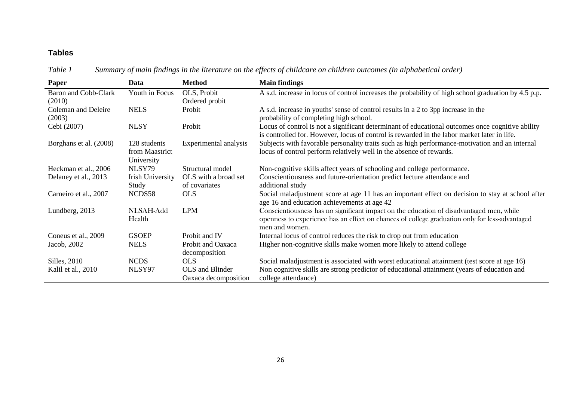# **Tables**

*Table 1 Summary of main findings in the literature on the effects of childcare on children outcomes (in alphabetical order)*

| Paper                          | Data                                         | <b>Method</b>                           | <b>Main findings</b>                                                                                                                                                                                         |
|--------------------------------|----------------------------------------------|-----------------------------------------|--------------------------------------------------------------------------------------------------------------------------------------------------------------------------------------------------------------|
| Baron and Cobb-Clark<br>(2010) | Youth in Focus                               | OLS, Probit<br>Ordered probit           | A s.d. increase in locus of control increases the probability of high school graduation by 4.5 p.p.                                                                                                          |
| Coleman and Deleire<br>(2003)  | <b>NELS</b>                                  | Probit                                  | A s.d. increase in youths' sense of control results in a 2 to 3pp increase in the<br>probability of completing high school.                                                                                  |
| Cebi (2007)                    | <b>NLSY</b>                                  | Probit                                  | Locus of control is not a significant determinant of educational outcomes once cognitive ability<br>is controlled for. However, locus of control is rewarded in the labor market later in life.              |
| Borghans et al. (2008)         | 128 students<br>from Maastrict<br>University | Experimental analysis                   | Subjects with favorable personality traits such as high performance-motivation and an internal<br>locus of control perform relatively well in the absence of rewards.                                        |
| Heckman et al., 2006           | NLSY79                                       | Structural model                        | Non-cognitive skills affect years of schooling and college performance.                                                                                                                                      |
| Delaney et al., 2013           | <b>Irish University</b><br>Study             | OLS with a broad set<br>of covariates   | Conscientiousness and future-orientation predict lecture attendance and<br>additional study                                                                                                                  |
| Carneiro et al., 2007          | NCDS58                                       | <b>OLS</b>                              | Social maladjustment score at age 11 has an important effect on decision to stay at school after<br>age 16 and education achievements at age 42                                                              |
| Lundberg, 2013                 | NLSAH-Add<br>Health                          | <b>LPM</b>                              | Conscientiousness has no significant impact on the education of disadvantaged men, while<br>openness to experience has an effect on chances of college graduation only for less-advantaged<br>men and women. |
| Coneus et al., 2009            | <b>GSOEP</b>                                 | Probit and IV                           | Internal locus of control reduces the risk to drop out from education                                                                                                                                        |
| Jacob, 2002                    | <b>NELS</b>                                  | Probit and Oaxaca<br>decomposition      | Higher non-cognitive skills make women more likely to attend college                                                                                                                                         |
| Silles, 2010                   | <b>NCDS</b>                                  | <b>OLS</b>                              | Social maladjustment is associated with worst educational attainment (test score at age 16)                                                                                                                  |
| Kalil et al., 2010             | NLSY97                                       | OLS and Blinder<br>Oaxaca decomposition | Non cognitive skills are strong predictor of educational attainment (years of education and<br>college attendance)                                                                                           |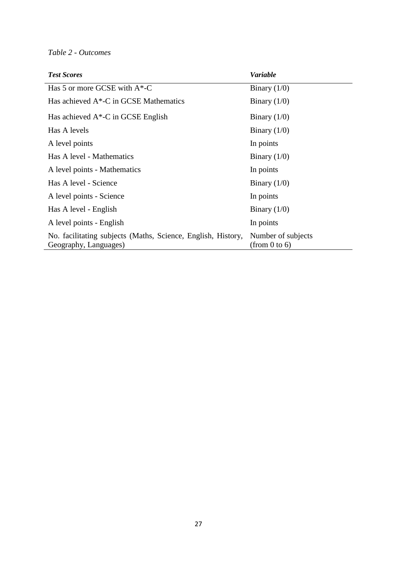### *Table 2 - Outcomes*

| <b>Test Scores</b>                                                                    | <b>Variable</b>                     |
|---------------------------------------------------------------------------------------|-------------------------------------|
| Has 5 or more GCSE with $A^*$ -C                                                      | Binary $(1/0)$                      |
| Has achieved A*-C in GCSE Mathematics                                                 | Binary $(1/0)$                      |
| Has achieved $A^*$ -C in GCSE English                                                 | Binary $(1/0)$                      |
| Has A levels                                                                          | Binary $(1/0)$                      |
| A level points                                                                        | In points                           |
| Has A level - Mathematics                                                             | Binary $(1/0)$                      |
| A level points - Mathematics                                                          | In points                           |
| Has A level - Science                                                                 | Binary $(1/0)$                      |
| A level points - Science                                                              | In points                           |
| Has A level - English                                                                 | Binary $(1/0)$                      |
| A level points - English                                                              | In points                           |
| No. facilitating subjects (Maths, Science, English, History,<br>Geography, Languages) | Number of subjects<br>(from 0 to 6) |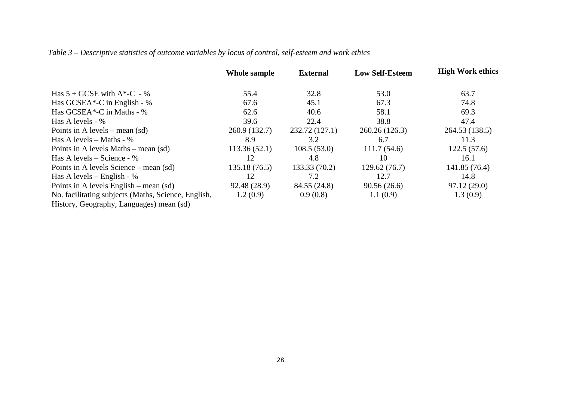| Table 3 – Descriptive statistics of outcome variables by locus of control, self-esteem and work ethics |  |  |  |
|--------------------------------------------------------------------------------------------------------|--|--|--|
|--------------------------------------------------------------------------------------------------------|--|--|--|

|                                                     | Whole sample  | <b>External</b> | <b>Low Self-Esteem</b> | <b>High Work ethics</b> |
|-----------------------------------------------------|---------------|-----------------|------------------------|-------------------------|
|                                                     |               |                 |                        |                         |
| Has $5 + GCSE$ with $A*-C - %$                      | 55.4          | 32.8            | 53.0                   | 63.7                    |
| Has GCSEA*-C in English - %                         | 67.6          | 45.1            | 67.3                   | 74.8                    |
| Has GCSEA*-C in Maths - %                           | 62.6          | 40.6            | 58.1                   | 69.3                    |
| Has A levels - %                                    | 39.6          | 22.4            | 38.8                   | 47.4                    |
| Points in A levels – mean $(sd)$                    | 260.9 (132.7) | 232.72 (127.1)  | 260.26 (126.3)         | 264.53 (138.5)          |
| Has A levels – Maths - $%$                          | 8.9           | 3.2             | 6.7                    | 11.3                    |
| Points in A levels Maths – mean $(sd)$              | 113.36(52.1)  | 108.5(53.0)     | 111.7(54.6)            | 122.5(57.6)             |
| Has A levels – Science - $%$                        | 12            | 4.8             | 10                     | 16.1                    |
| Points in A levels Science – mean (sd)              | 135.18 (76.5) | 133.33(70.2)    | 129.62(76.7)           | 141.85 (76.4)           |
| Has A levels – English - $%$                        | 12            | 7.2             | 12.7                   | 14.8                    |
| Points in A levels English – mean $(sd)$            | 92.48 (28.9)  | 84.55 (24.8)    | 90.56(26.6)            | 97.12(29.0)             |
| No. facilitating subjects (Maths, Science, English, | 1.2(0.9)      | 0.9(0.8)        | 1.1(0.9)               | 1.3(0.9)                |
| History, Geography, Languages) mean (sd)            |               |                 |                        |                         |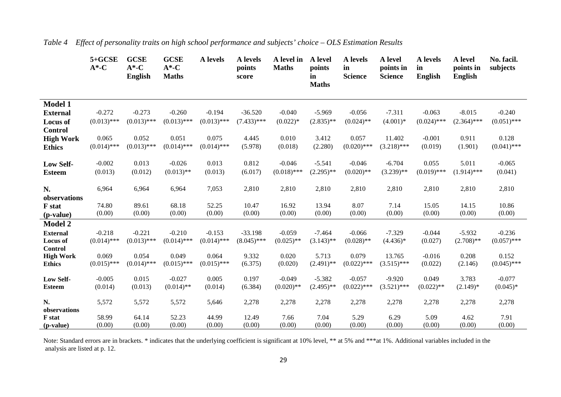|                                                                        | $5 + GCSE$<br>$A^*$ -C    | <b>GCSE</b><br>$A^*$ -C<br><b>English</b> | <b>GCSE</b><br>$A^*$ -C<br><b>Maths</b> | A levels                  | A levels<br>points<br>score | A level in<br><b>Maths</b> | A level<br>points<br>in<br><b>Maths</b> | A levels<br>in<br><b>Science</b> | A level<br>points in<br><b>Science</b> | A levels<br>in<br><b>English</b> | A level<br>points in<br><b>English</b> | No. facil.<br>subjects    |
|------------------------------------------------------------------------|---------------------------|-------------------------------------------|-----------------------------------------|---------------------------|-----------------------------|----------------------------|-----------------------------------------|----------------------------------|----------------------------------------|----------------------------------|----------------------------------------|---------------------------|
| <b>Model 1</b><br><b>External</b><br>Locus of<br><b>Control</b>        | $-0.272$<br>$(0.013)$ *** | $-0.273$<br>$(0.013)$ ***                 | $-0.260$<br>$(0.013)$ ***               | $-0.194$<br>$(0.013)$ *** | $-36.520$<br>$(7.433)$ ***  | $-0.040$<br>$(0.022)*$     | $-5.969$<br>$(2.835)$ **                | $-0.056$<br>$(0.024)$ **         | $-7.311$<br>$(4.001)*$                 | $-0.063$<br>$(0.024)$ ***        | $-8.015$<br>$(2.364)$ ***              | $-0.240$<br>$(0.051)$ *** |
| <b>High Work</b>                                                       | 0.065                     | 0.052                                     | 0.051                                   | 0.075                     | 4.445                       | 0.010                      | 3.412                                   | 0.057                            | 11.402                                 | $-0.001$                         | 0.911                                  | 0.128                     |
| <b>Ethics</b>                                                          | $(0.014)$ ***             | $(0.013)$ ***                             | $(0.014)$ ***                           | $(0.014)$ ***             | (5.978)                     | (0.018)                    | (2.280)                                 | $(0.020)$ ***                    | $(3.218)$ ***                          | (0.019)                          | (1.901)                                | $(0.041)$ ***             |
| <b>Low Self-</b>                                                       | $-0.002$                  | 0.013                                     | $-0.026$                                | 0.013                     | 0.812                       | $-0.046$                   | $-5.541$                                | $-0.046$                         | $-6.704$                               | 0.055                            | 5.011                                  | $-0.065$                  |
| <b>Esteem</b>                                                          | (0.013)                   | (0.012)                                   | $(0.013)$ **                            | (0.013)                   | (6.017)                     | $(0.018)$ ***              | $(2.295)$ **                            | $(0.020)$ **                     | $(3.239)$ **                           | $(0.019)$ ***                    | $(1.914)$ ***                          | (0.041)                   |
| N.<br>observations                                                     | 6,964                     | 6,964                                     | 6,964                                   | 7,053                     | 2,810                       | 2,810                      | 2,810                                   | 2,810                            | 2,810                                  | 2,810                            | 2,810                                  | 2,810                     |
| F stat                                                                 | 74.80                     | 89.61                                     | 68.18                                   | 52.25                     | 10.47                       | 16.92                      | 13.94                                   | 8.07                             | 7.14                                   | 15.05                            | 14.15                                  | 10.86                     |
| (p-value)                                                              | (0.00)                    | (0.00)                                    | (0.00)                                  | (0.00)                    | (0.00)                      | (0.00)                     | (0.00)                                  | (0.00)                           | (0.00)                                 | (0.00)                           | (0.00)                                 | (0.00)                    |
| <b>Model 2</b><br><b>External</b><br><b>Locus of</b><br><b>Control</b> | $-0.218$<br>$(0.014)$ *** | $-0.221$<br>$(0.013)$ ***                 | $-0.210$<br>$(0.014)$ ***               | $-0.153$<br>$(0.014)$ *** | $-33.198$<br>$(8.045)$ ***  | $-0.059$<br>$(0.025)$ **   | $-7.464$<br>$(3.143)$ **                | $-0.066$<br>$(0.028)$ **         | $-7.329$<br>$(4.436)*$                 | $-0.044$<br>(0.027)              | $-5.932$<br>$(2.708)$ **               | $-0.236$<br>$(0.057)$ *** |
| <b>High Work</b>                                                       | 0.069                     | 0.054                                     | 0.049                                   | 0.064                     | 9.332                       | 0.020                      | 5.713                                   | 0.079                            | 13.765                                 | $-0.016$                         | 0.208                                  | 0.152                     |
| <b>Ethics</b>                                                          | $(0.015)$ ***             | $(0.014)$ ***                             | $(0.015)$ ***                           | $(0.015)$ ***             | (6.375)                     | (0.020)                    | $(2.491)$ **                            | $(0.022)$ ***                    | $(3.515)$ ***                          | (0.022)                          | (2.146)                                | $(0.045)$ ***             |
| Low Self-                                                              | $-0.005$                  | 0.015                                     | $-0.027$                                | 0.005                     | 0.197                       | $-0.049$                   | $-5.382$                                | $-0.057$                         | $-9.920$                               | 0.049                            | 3.783                                  | $-0.077$                  |
| <b>Esteem</b>                                                          | (0.014)                   | (0.013)                                   | $(0.014)$ **                            | (0.014)                   | (6.384)                     | $(0.020)$ **               | $(2.495)$ **                            | $(0.022)$ ***                    | $(3.521)$ ***                          | $(0.022)$ **                     | $(2.149)^*$                            | $(0.045)*$                |
| N.<br>observations                                                     | 5,572                     | 5,572                                     | 5,572                                   | 5,646                     | 2,278                       | 2,278                      | 2,278                                   | 2,278                            | 2,278                                  | 2,278                            | 2,278                                  | 2,278                     |
| <b>F</b> stat                                                          | 58.99                     | 64.14                                     | 52.23                                   | 44.99                     | 12.49                       | 7.66                       | 7.04                                    | 5.29                             | 6.29                                   | 5.09                             | 4.62                                   | 7.91                      |
| ( <i>p</i> -value)                                                     | (0.00)                    | (0.00)                                    | (0.00)                                  | (0.00)                    | (0.00)                      | (0.00)                     | (0.00)                                  | (0.00)                           | (0.00)                                 | (0.00)                           | (0.00)                                 | (0.00)                    |

*Table 4 Effect of personality traits on high school performance and subjects' choice – OLS Estimation Results*

Note: Standard errors are in brackets. \* indicates that the underlying coefficient is significant at 10% level, \*\* at 5% and \*\*\*at 1%. Additional variables included in the analysis are listed at p. 12.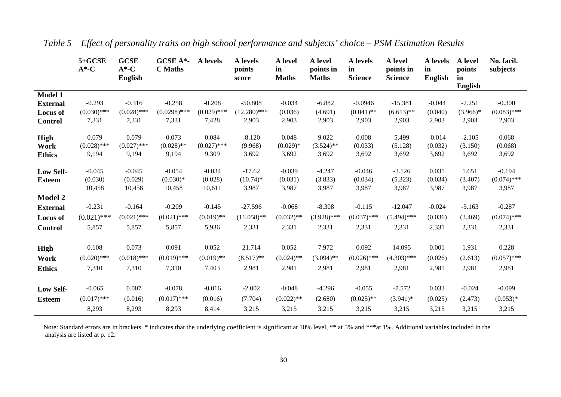|                  | $5 + GCSE$<br>$A^*$ -C | <b>GCSE</b><br>$A^*$ -C<br><b>English</b> | <b>GCSE A*-</b><br><b>C</b> Maths | A levels      | A levels<br>points<br>score | A level<br>in<br><b>Maths</b> | A level<br>points in<br><b>Maths</b> | A levels<br>in<br><b>Science</b> | A level<br>points in<br><b>Science</b> | A levels<br>in<br>English | A level<br>points<br>in<br><b>English</b> | No. facil.<br>subjects |
|------------------|------------------------|-------------------------------------------|-----------------------------------|---------------|-----------------------------|-------------------------------|--------------------------------------|----------------------------------|----------------------------------------|---------------------------|-------------------------------------------|------------------------|
| <b>Model 1</b>   |                        |                                           |                                   |               |                             |                               |                                      |                                  |                                        |                           |                                           |                        |
| <b>External</b>  | $-0.293$               | $-0.316$                                  | $-0.258$                          | $-0.208$      | $-50.808$                   | $-0.034$                      | $-6.882$                             | $-0.0946$                        | $-15.381$                              | $-0.044$                  | $-7.251$                                  | $-0.300$               |
| <b>Locus</b> of  | $(0.030)$ ***          | $(0.028)$ ***                             | $(0.0298)$ ***                    | $(0.029)$ *** | $(12.280)$ ***              | (0.036)                       | (4.691)                              | $(0.041)$ **                     | $(6.613)$ **                           | (0.040)                   | $(3.966)*$                                | $(0.083)$ ***          |
| <b>Control</b>   | 7,331                  | 7,331                                     | 7,331                             | 7,428         | 2,903                       | 2,903                         | 2,903                                | 2,903                            | 2,903                                  | 2,903                     | 2,903                                     | 2,903                  |
| <b>High</b>      | 0.079                  | 0.079                                     | 0.073                             | 0.084         | $-8.120$                    | 0.048                         | 9.022                                | 0.008                            | 5.499                                  | $-0.014$                  | $-2.105$                                  | 0.068                  |
| Work             | $(0.028)$ ***          | $(0.027)$ ***                             | $(0.028)$ **                      | $(0.027)$ *** | (9.968)                     | $(0.029)*$                    | $(3.524)$ **                         | (0.033)                          | (5.128)                                | (0.032)                   | (3.150)                                   | (0.068)                |
| <b>Ethics</b>    | 9,194                  | 9,194                                     | 9,194                             | 9,309         | 3,692                       | 3,692                         | 3,692                                | 3,692                            | 3,692                                  | 3,692                     | 3,692                                     | 3,692                  |
| <b>Low Self-</b> | $-0.045$               | $-0.045$                                  | $-0.054$                          | $-0.034$      | $-17.62$                    | $-0.039$                      | $-4.247$                             | $-0.046$                         | $-3.126$                               | 0.035                     | 1.651                                     | $-0.194$               |
| <b>Esteem</b>    | (0.030)                | (0.029)                                   | $(0.030)*$                        | (0.028)       | $(10.74)$ *                 | (0.031)                       | (3.833)                              | (0.034)                          | (5.323)                                | (0.034)                   | (3.407)                                   | $(0.074)$ ***          |
|                  | 10,458                 | 10,458                                    | 10,458                            | 10,611        | 3,987                       | 3,987                         | 3,987                                | 3,987                            | 3,987                                  | 3,987                     | 3,987                                     | 3,987                  |
| <b>Model 2</b>   |                        |                                           |                                   |               |                             |                               |                                      |                                  |                                        |                           |                                           |                        |
| <b>External</b>  | $-0.231$               | $-0.164$                                  | $-0.209$                          | $-0.145$      | $-27.596$                   | $-0.068$                      | $-8.308$                             | $-0.115$                         | $-12.047$                              | $-0.024$                  | $-5.163$                                  | $-0.287$               |
| <b>Locus</b> of  | $(0.021)$ ***          | $(0.021)$ ***                             | $(0.021)$ ***                     | $(0.019)$ **  | $(11.058)$ **               | $(0.032)$ **                  | $(3.928)$ ***                        | $(0.037)$ ***                    | $(5.494)$ ***                          | (0.036)                   | (3.469)                                   | $(0.074)$ ***          |
| <b>Control</b>   | 5,857                  | 5,857                                     | 5,857                             | 5,936         | 2,331                       | 2,331                         | 2,331                                | 2,331                            | 2,331                                  | 2,331                     | 2,331                                     | 2,331                  |
| <b>High</b>      | 0.108                  | 0.073                                     | 0.091                             | 0.052         | 21.714                      | 0.052                         | 7.972                                | 0.092                            | 14.095                                 | 0.001                     | 1.931                                     | 0.228                  |
| Work             | $(0.020)$ ***          | $(0.018)$ ***                             | $(0.019)$ ***                     | $(0.019)$ **  | $(8.517)$ **                | $(0.024)$ **                  | $(3.094)$ **                         | $(0.026)$ ***                    | $(4.303)$ ***                          | (0.026)                   | (2.613)                                   | $(0.057)$ ***          |
| <b>Ethics</b>    | 7,310                  | 7,310                                     | 7,310                             | 7,403         | 2,981                       | 2,981                         | 2,981                                | 2,981                            | 2,981                                  | 2,981                     | 2,981                                     | 2,981                  |
| Low Self-        | $-0.065$               | 0.007                                     | $-0.078$                          | $-0.016$      | $-2.002$                    | $-0.048$                      | $-4.296$                             | $-0.055$                         | $-7.572$                               | 0.033                     | $-0.024$                                  | $-0.099$               |
| Esteem           | $(0.017)$ ***          | (0.016)                                   | $(0.017)$ ***                     | (0.016)       | (7.704)                     | $(0.022)$ **                  | (2.680)                              | $(0.025)$ **                     | $(3.941)^*$                            | (0.025)                   | (2.473)                                   | $(0.053)*$             |
|                  | 8,293                  | 8,293                                     | 8,293                             | 8,414         | 3,215                       | 3,215                         | 3,215                                | 3,215                            | 3,215                                  | 3,215                     | 3,215                                     | 3,215                  |

*Table 5 Effect of personality traits on high school performance and subjects' choice – PSM Estimation Results*

Note: Standard errors are in brackets. \* indicates that the underlying coefficient is significant at 10% level, \*\* at 5% and \*\*\*at 1%. Additional variables included in the analysis are listed at p. 12.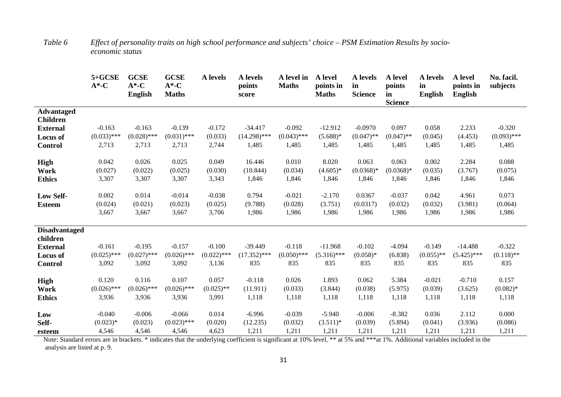|                      | 5+GCSE<br>$A^*$ -C | <b>GCSE</b><br>$A^*$ -C<br><b>English</b> | <b>GCSE</b><br>$A^*$ -C<br><b>Maths</b> | A levels      | A levels<br>points<br>score | A level in<br><b>Maths</b> | A level<br>points in<br><b>Maths</b> | A levels<br>in<br><b>Science</b> | A level<br>points<br>in<br><b>Science</b> | <b>A</b> levels<br>in<br>English | A level<br>points in<br><b>English</b> | No. facil.<br>subjects |
|----------------------|--------------------|-------------------------------------------|-----------------------------------------|---------------|-----------------------------|----------------------------|--------------------------------------|----------------------------------|-------------------------------------------|----------------------------------|----------------------------------------|------------------------|
| <b>Advantaged</b>    |                    |                                           |                                         |               |                             |                            |                                      |                                  |                                           |                                  |                                        |                        |
| <b>Children</b>      |                    |                                           |                                         |               |                             |                            |                                      |                                  |                                           |                                  |                                        |                        |
| <b>External</b>      | $-0.163$           | $-0.163$                                  | $-0.139$                                | $-0.172$      | $-34.417$                   | $-0.092$                   | $-12.912$                            | $-0.0970$                        | 0.097                                     | 0.058                            | 2.233                                  | $-0.320$               |
| Locus of             | $(0.033)$ ***      | $(0.028)$ ***                             | $(0.031)$ ***                           | (0.033)       | $(14.298)$ ***              | $(0.043)$ ***              | $(5.688)*$                           | $(0.047)$ **                     | $(0.047)$ **                              | (0.045)                          | (4.453)                                | $(0.093)$ ***          |
| <b>Control</b>       | 2,713              | 2,713                                     | 2,713                                   | 2,744         | 1,485                       | 1,485                      | 1,485                                | 1,485                            | 1,485                                     | 1,485                            | 1,485                                  | 1,485                  |
| High                 | 0.042              | 0.026                                     | 0.025                                   | 0.049         | 16.446                      | 0.010                      | 8.020                                | 0.063                            | 0.063                                     | 0.002                            | 2.284                                  | 0.088                  |
| Work                 | (0.027)            | (0.022)                                   | (0.025)                                 | (0.030)       | (10.844)                    | (0.034)                    | $(4.605)*$                           | $(0.0368)*$                      | $(0.0368)*$                               | (0.035)                          | (3.767)                                | (0.075)                |
| <b>Ethics</b>        | 3,307              | 3,307                                     | 3,307                                   | 3,343         | 1,846                       | 1,846                      | 1,846                                | 1,846                            | 1,846                                     | 1,846                            | 1,846                                  | 1,846                  |
|                      |                    |                                           |                                         |               |                             |                            |                                      |                                  |                                           |                                  |                                        |                        |
| <b>Low Self-</b>     | 0.002              | 0.014                                     | $-0.014$                                | $-0.038$      | 0.794                       | $-0.021$                   | $-2.170$                             | 0.0367                           | $-0.037$                                  | 0.042                            | 4.961                                  | 0.073                  |
| <b>Esteem</b>        | (0.024)            | (0.021)                                   | (0.023)                                 | (0.025)       | (9.788)                     | (0.028)                    | (3.751)                              | (0.0317)                         | (0.032)                                   | (0.032)                          | (3.981)                                | (0.064)                |
|                      | 3,667              | 3,667                                     | 3,667                                   | 3,706         | 1,986                       | 1,986                      | 1,986                                | 1,986                            | 1,986                                     | 1,986                            | 1,986                                  | 1,986                  |
|                      |                    |                                           |                                         |               |                             |                            |                                      |                                  |                                           |                                  |                                        |                        |
| <b>Disadvantaged</b> |                    |                                           |                                         |               |                             |                            |                                      |                                  |                                           |                                  |                                        |                        |
| children             | $-0.161$           | $-0.195$                                  | $-0.157$                                | $-0.100$      | $-39.449$                   | $-0.118$                   | $-11.968$                            | $-0.102$                         | $-4.094$                                  | $-0.149$                         | $-14.488$                              | $-0.322$               |
| <b>External</b>      | $(0.025)$ ***      | $(0.027)$ ***                             | $(0.026)$ ***                           | $(0.022)$ *** | $(17.352)$ ***              | $(0.050)$ ***              | $(5.316)$ ***                        | $(0.058)*$                       | (6.838)                                   | $(0.055)$ **                     | $(5.425)$ ***                          | $(0.118)$ **           |
| <b>Locus of</b>      |                    | 3,092                                     | 3,092                                   | 3,136         | 835                         | 835                        | 835                                  | 835                              | 835                                       | 835                              | 835                                    | 835                    |
| <b>Control</b>       | 3,092              |                                           |                                         |               |                             |                            |                                      |                                  |                                           |                                  |                                        |                        |
| High                 | 0.120              | 0.116                                     | 0.107                                   | 0.057         | $-0.118$                    | 0.026                      | 1.893                                | 0.062                            | 5.384                                     | $-0.021$                         | $-0.710$                               | 0.157                  |
| Work                 | $(0.026)$ ***      | $(0.026)$ ***                             | $(0.026)$ ***                           | $(0.025)$ **  | (11.911)                    | (0.033)                    | (3.844)                              | (0.038)                          | (5.975)                                   | (0.039)                          | (3.625)                                | $(0.082)*$             |
| <b>Ethics</b>        | 3,936              | 3,936                                     | 3,936                                   | 3,991         | 1,118                       | 1,118                      | 1,118                                | 1,118                            | 1,118                                     | 1,118                            | 1,118                                  | 1,118                  |
| Low                  | $-0.040$           | $-0.006$                                  | $-0.066$                                | 0.014         | $-6.996$                    | $-0.039$                   | $-5.940$                             | $-0.006$                         | $-8.382$                                  | 0.036                            | 2.112                                  | 0.000                  |
| Self-                | $(0.023)*$         | (0.023)                                   | $(0.023)$ ***                           | (0.020)       | (12.235)                    | (0.032)                    | $(3.511)^*$                          | (0.039)                          | (5.894)                                   | (0.041)                          | (3.936)                                | (0.086)                |
| esteem               | 4,546              | 4,546                                     | 4,546                                   | 4,623         | 1,211                       | 1,211                      | 1,211                                | 1,211                            | 1,211                                     | 1,211                            | 1,211                                  | 1,211                  |
|                      |                    |                                           |                                         |               |                             |                            |                                      |                                  |                                           |                                  |                                        |                        |

*Table 6 Effect of personality traits on high school performance and subjects' choice – PSM Estimation Results by socioeconomic status*

Note: Standard errors are in brackets. \* indicates that the underlying coefficient is significant at 10% level, \*\* at 5% and \*\*\*at 1%. Additional variables included in the analysis are listed at p. 9.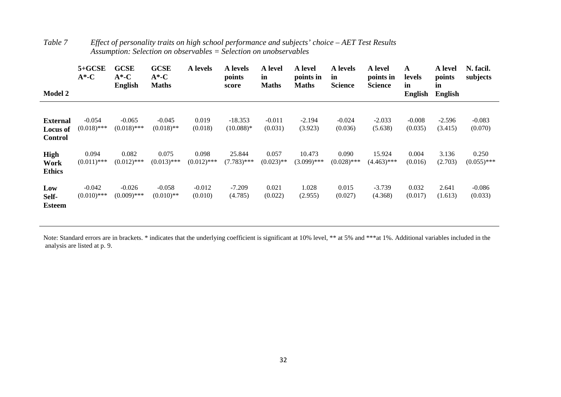| <b>Model 2</b>                                | $5 + GCSE$<br>$A^*$ -C    | <b>GCSE</b><br>$A^*$ -C<br><b>English</b> | <b>GCSE</b><br>$A^*$ -C<br><b>Maths</b> | A levels               | A levels<br>points<br>score | A level<br>in<br><b>Maths</b> | A level<br>points in<br><b>Maths</b> | A levels<br>in<br><b>Science</b> | A level<br>points in<br><b>Science</b> | A<br>levels<br>in<br>English | A level<br>points<br>in<br><b>English</b> | N. facil.<br>subjects  |
|-----------------------------------------------|---------------------------|-------------------------------------------|-----------------------------------------|------------------------|-----------------------------|-------------------------------|--------------------------------------|----------------------------------|----------------------------------------|------------------------------|-------------------------------------------|------------------------|
| External<br><b>Locus of</b><br><b>Control</b> | $-0.054$<br>$(0.018)$ *** | $-0.065$<br>$(0.018)$ ***                 | $-0.045$<br>$(0.018)$ **                | 0.019<br>(0.018)       | $-18.353$<br>$(10.088)*$    | $-0.011$<br>(0.031)           | $-2.194$<br>(3.923)                  | $-0.024$<br>(0.036)              | $-2.033$<br>(5.638)                    | $-0.008$<br>(0.035)          | $-2.596$<br>(3.415)                       | $-0.083$<br>(0.070)    |
| <b>High</b><br>Work<br><b>Ethics</b>          | 0.094<br>$(0.011)$ ***    | 0.082<br>$(0.012)$ ***                    | 0.075<br>$(0.013)$ ***                  | 0.098<br>$(0.012)$ *** | 25.844<br>$(7.783)$ ***     | 0.057<br>$(0.023)$ **         | 10.473<br>$(3.099)$ ***              | 0.090<br>$(0.028)$ ***           | 15.924<br>$(4.463)$ ***                | 0.004<br>(0.016)             | 3.136<br>(2.703)                          | 0.250<br>$(0.055)$ *** |
| Low<br>Self-<br><b>Esteem</b>                 | $-0.042$<br>$(0.010)$ *** | $-0.026$<br>$(0.009)$ ***                 | $-0.058$<br>$(0.010)$ **                | $-0.012$<br>(0.010)    | $-7.209$<br>(4.785)         | 0.021<br>(0.022)              | 1.028<br>(2.955)                     | 0.015<br>(0.027)                 | $-3.739$<br>(4.368)                    | 0.032<br>(0.017)             | 2.641<br>(1.613)                          | $-0.086$<br>(0.033)    |

| Table 7 | Effect of personality traits on high school performance and subjects' choice $-AET$ Test Results |
|---------|--------------------------------------------------------------------------------------------------|
|         | Assumption: Selection on observables $=$ Selection on unobservables                              |

Note: Standard errors are in brackets. \* indicates that the underlying coefficient is significant at 10% level, \*\* at 5% and \*\*\*at 1%. Additional variables included in the analysis are listed at p. 9.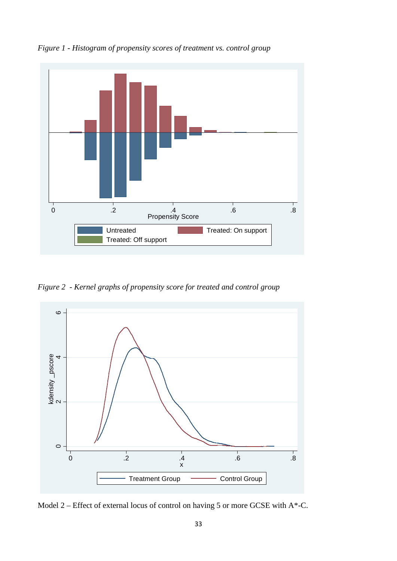

*Figure 1 - Histogram of propensity scores of treatment vs. control group*

*Figure 2 - Kernel graphs of propensity score for treated and control group*



Model 2 – Effect of external locus of control on having 5 or more GCSE with  $A^*$ -C.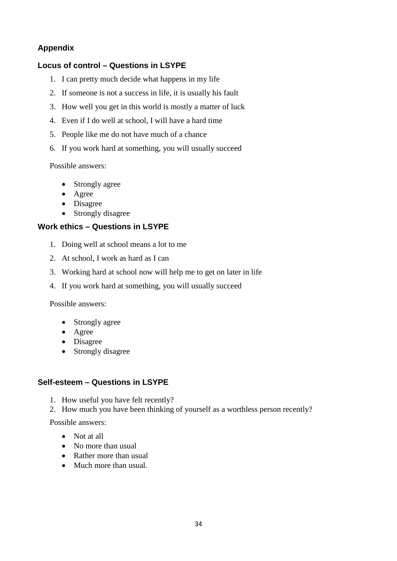### **Appendix**

### **Locus of control – Questions in LSYPE**

- 1. I can pretty much decide what happens in my life
- 2. If someone is not a success in life, it is usually his fault
- 3. How well you get in this world is mostly a matter of luck
- 4. Even if I do well at school, I will have a hard time
- 5. People like me do not have much of a chance
- 6. If you work hard at something, you will usually succeed

Possible answers:

- Strongly agree
- Agree
- Disagree
- Strongly disagree

#### **Work ethics – Questions in LSYPE**

- 1. Doing well at school means a lot to me
- 2. At school, I work as hard as I can
- 3. Working hard at school now will help me to get on later in life
- 4. If you work hard at something, you will usually succeed

Possible answers:

- Strongly agree
- Agree
- Disagree
- Strongly disagree

#### **Self-esteem – Questions in LSYPE**

- 1. How useful you have felt recently?
- 2. How much you have been thinking of yourself as a worthless person recently?

Possible answers:

- Not at all
- No more than usual
- Rather more than usual
- Much more than usual.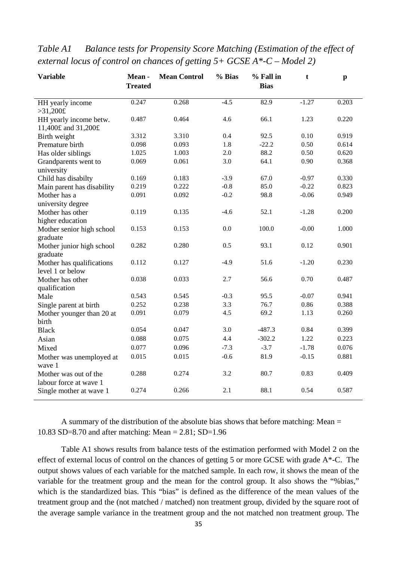| <b>Variable</b>            | Mean-<br><b>Treated</b> | <b>Mean Control</b> | % Bias | % Fall in<br><b>Bias</b> | t       | $\mathbf{p}$ |
|----------------------------|-------------------------|---------------------|--------|--------------------------|---------|--------------|
| HH yearly income           | 0.247                   | 0.268               | $-4.5$ | 82.9                     | $-1.27$ | 0.203        |
| >31,200f                   |                         |                     |        |                          |         |              |
| HH yearly income betw.     | 0.487                   | 0.464               | 4.6    | 66.1                     | 1.23    | 0.220        |
| 11,400£ and 31,200£        |                         |                     |        |                          |         |              |
| Birth weight               | 3.312                   | 3.310               | 0.4    | 92.5                     | 0.10    | 0.919        |
| Premature birth            | 0.098                   | 0.093               | 1.8    | $-22.2$                  | 0.50    | 0.614        |
| Has older siblings         | 1.025                   | 1.003               | 2.0    | 88.2                     | 0.50    | 0.620        |
| Grandparents went to       | 0.069                   | 0.061               | 3.0    | 64.1                     | 0.90    | 0.368        |
| university                 |                         |                     |        |                          |         |              |
| Child has disabilty        | 0.169                   | 0.183               | $-3.9$ | 67.0                     | $-0.97$ | 0.330        |
| Main parent has disability | 0.219                   | 0.222               | $-0.8$ | 85.0                     | $-0.22$ | 0.823        |
| Mother has a               | 0.091                   | 0.092               | $-0.2$ | 98.8                     | $-0.06$ | 0.949        |
| university degree          |                         |                     |        |                          |         |              |
| Mother has other           | 0.119                   | 0.135               | $-4.6$ | 52.1                     | $-1.28$ | 0.200        |
| higher education           |                         |                     |        |                          |         |              |
| Mother senior high school  | 0.153                   | 0.153               | 0.0    | 100.0                    | $-0.00$ | 1.000        |
| graduate                   |                         |                     |        |                          |         |              |
| Mother junior high school  | 0.282                   | 0.280               | 0.5    | 93.1                     | 0.12    | 0.901        |
| graduate                   |                         |                     |        |                          |         |              |
| Mother has qualifications  | 0.112                   | 0.127               | $-4.9$ | 51.6                     | $-1.20$ | 0.230        |
| level 1 or below           |                         |                     |        |                          |         |              |
| Mother has other           | 0.038                   | 0.033               | 2.7    | 56.6                     | 0.70    | 0.487        |
| qualification              |                         |                     |        |                          |         |              |
| Male                       | 0.543                   | 0.545               | $-0.3$ | 95.5                     | $-0.07$ | 0.941        |
| Single parent at birth     | 0.252                   | 0.238               | 3.3    | 76.7                     | 0.86    | 0.388        |
| Mother younger than 20 at  | 0.091                   | 0.079               | 4.5    | 69.2                     | 1.13    | 0.260        |
| birth                      |                         |                     |        |                          |         |              |
| <b>Black</b>               | 0.054                   | 0.047               | 3.0    | $-487.3$                 | 0.84    | 0.399        |
| Asian                      | 0.088                   | 0.075               | 4.4    | $-302.2$                 | 1.22    | 0.223        |
| Mixed                      | 0.077                   | 0.096               | $-7.3$ | $-3.7$                   | $-1.78$ | 0.076        |
| Mother was unemployed at   | 0.015                   | 0.015               | $-0.6$ | 81.9                     | $-0.15$ | 0.881        |
| wave 1                     |                         |                     |        |                          |         |              |
| Mother was out of the      | 0.288                   | 0.274               | 3.2    | 80.7                     | 0.83    | 0.409        |
| labour force at wave 1     |                         |                     |        |                          |         |              |
| Single mother at wave 1    | 0.274                   | 0.266               | 2.1    | 88.1                     | 0.54    | 0.587        |

*Table A1 Balance tests for Propensity Score Matching (Estimation of the effect of external locus of control on chances of getting 5+ GCSE A\*-C – Model 2)*

A summary of the distribution of the absolute bias shows that before matching: Mean = 10.83 SD=8.70 and after matching: Mean = 2.81; SD=1.96

Table A1 shows results from balance tests of the estimation performed with Model 2 on the effect of external locus of control on the chances of getting 5 or more GCSE with grade A\*-C. The output shows values of each variable for the matched sample. In each row, it shows the mean of the variable for the treatment group and the mean for the control group. It also shows the "%bias," which is the standardized bias. This "bias" is defined as the difference of the mean values of the treatment group and the (not matched / matched) non treatment group, divided by the square root of the average sample variance in the treatment group and the not matched non treatment group. The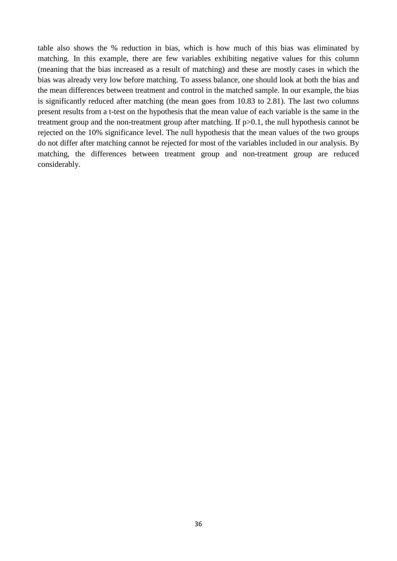table also shows the % reduction in bias, which is how much of this bias was eliminated by matching. In this example, there are few variables exhibiting negative values for this column (meaning that the bias increased as a result of matching) and these are mostly cases in which the bias was already very low before matching. To assess balance, one should look at both the bias and the mean differences between treatment and control in the matched sample. In our example, the bias is significantly reduced after matching (the mean goes from 10.83 to 2.81). The last two columns present results from a t-test on the hypothesis that the mean value of each variable is the same in the treatment group and the non-treatment group after matching. If p>0.1, the null hypothesis cannot be rejected on the 10% significance level. The null hypothesis that the mean values of the two groups do not differ after matching cannot be rejected for most of the variables included in our analysis. By matching, the differences between treatment group and non-treatment group are reduced considerably.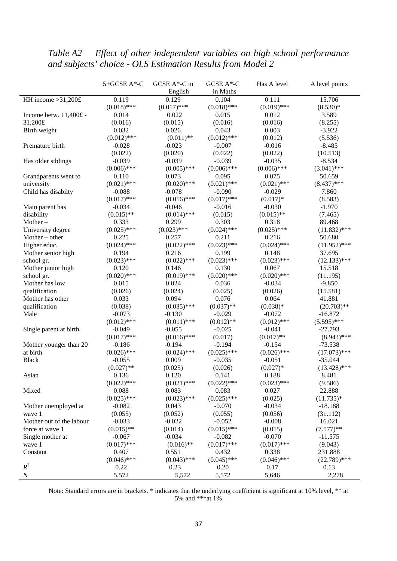# *Table A2 Effect of other independent variables on high school performance and subjects' choice - OLS Estimation Results from Model 2*

|                          | 5+GCSE A*-C   | GCSE A*-C in  | GCSE A*-C     | Has A level   | A level points |
|--------------------------|---------------|---------------|---------------|---------------|----------------|
|                          |               | English       | in Maths      |               |                |
| HH income $>31,200$ £    | 0.119         | 0.129         | 0.104         | 0.111         | 15.706         |
|                          | $(0.018)$ *** | $(0.017)$ *** | $(0.018)$ *** | $(0.019)$ *** | $(8.530)*$     |
| Income betw. 11,400£ -   | 0.014         | 0.022         | 0.015         | 0.012         | 3.589          |
| 31,200£                  | (0.016)       | (0.015)       | (0.016)       | (0.016)       | (8.255)        |
| Birth weight             | 0.032         | 0.026         | 0.043         | 0.003         | $-3.922$       |
|                          | $(0.012)$ *** | $(0.011)$ **  | $(0.012)$ *** | (0.012)       | (5.536)        |
| Premature birth          | $-0.028$      | $-0.023$      | $-0.007$      | $-0.016$      | $-8.485$       |
|                          | (0.022)       | (0.020)       | (0.022)       | (0.022)       | (10.513)       |
| Has older siblings       | $-0.039$      | $-0.039$      | $-0.039$      | $-0.035$      | $-8.534$       |
|                          | $(0.006)$ *** | $(0.005)$ *** | $(0.006)$ *** | $(0.006)$ *** | $(3.041)$ ***  |
| Grandparents went to     | 0.110         | 0.073         | 0.095         | 0.075         | 50.659         |
| university               | $(0.021)$ *** | $(0.020)$ *** | $(0.021)$ *** | $(0.021)$ *** | $(8.437)$ ***  |
| Child has disabilty      | $-0.088$      | $-0.078$      | $-0.090$      | $-0.029$      | 7.860          |
|                          | $(0.017)$ *** | $(0.016)$ *** | $(0.017)$ *** | $(0.017)*$    | (8.583)        |
| Main parent has          | $-0.034$      | $-0.046$      | $-0.016$      | $-0.030$      | $-1.970$       |
| disability               | $(0.015)$ **  | $(0.014)$ *** | (0.015)       | $(0.015)$ **  | (7.465)        |
| Mother $-$               | 0.333         | 0.299         | 0.303         | 0.318         | 89.468         |
| University degree        | $(0.025)$ *** | $(0.023)$ *** | $(0.024)$ *** | $(0.025)$ *** | $(11.832)$ *** |
| Mother $-$ other         | 0.225         | 0.257         | 0.211         | 0.216         | 50.680         |
| Higher educ.             | $(0.024)$ *** | $(0.022)$ *** | $(0.023)$ *** | $(0.024)$ *** | $(11.952)$ *** |
| Mother senior high       | 0.194         | 0.216         | 0.199         | 0.148         | 37.695         |
| school gr.               | $(0.023)$ *** | $(0.022)$ *** | $(0.023)$ *** | $(0.023)$ *** | $(12.133)$ *** |
| Mother junior high       | 0.120         | 0.146         | 0.130         | 0.067         | 15.518         |
| school gr.               | $(0.020)$ *** | $(0.019)$ *** | $(0.020)$ *** | $(0.020)$ *** | (11.195)       |
| Mother has low           | 0.015         | 0.024         | 0.036         | $-0.034$      | $-9.850$       |
| qualification            | (0.026)       | (0.024)       | (0.025)       | (0.026)       | (15.581)       |
| Mother has other         | 0.033         | 0.094         | 0.076         | 0.064         | 41.881         |
| qualification            | (0.038)       | $(0.035)$ *** | $(0.037)$ **  | $(0.038)*$    | $(20.703)$ **  |
| Male                     | $-0.073$      | $-0.130$      | $-0.029$      | $-0.072$      | $-16.872$      |
|                          | $(0.012)$ *** | $(0.011)$ *** | $(0.012)$ **  | $(0.012)$ *** | $(5.595)$ ***  |
| Single parent at birth   | $-0.049$      | $-0.055$      | $-0.025$      | $-0.041$      | $-27.793$      |
|                          | $(0.017)$ *** | $(0.016)$ *** | (0.017)       | $(0.017)$ **  | $(8.943)$ ***  |
| Mother younger than 20   | $-0.186$      | $-0.194$      | $-0.194$      | $-0.154$      | $-73.538$      |
| at birth                 | $(0.026)$ *** | $(0.024)$ *** | $(0.025)$ *** | $(0.026)$ *** | $(17.073)$ *** |
| <b>Black</b>             | $-0.055$      | 0.009         | $-0.035$      | $-0.051$      | $-35.044$      |
|                          | $(0.027)$ **  | (0.025)       | (0.026)       | $(0.027)*$    | $(13.428)$ *** |
| Asian                    | 0.136         | 0.120         | 0.141         | 0.188         | 8.481          |
|                          | $(0.022)$ *** | $(0.021)$ *** | $(0.022)$ *** | $(0.023)$ *** | (9.586)        |
| Mixed                    | 0.088         | 0.083         | 0.083         | 0.027         | 22.888         |
|                          | $(0.025)$ *** | $(0.023)$ *** | $(0.025)$ *** | (0.025)       | $(11.735)*$    |
| Mother unemployed at     | $-0.082$      | 0.043         | $-0.070$      | $-0.034$      | $-18.188$      |
| wave 1                   | (0.055)       | (0.052)       | (0.055)       | (0.056)       | (31.112)       |
| Mother out of the labour | $-0.033$      | $-0.022$      | $-0.052$      | $-0.008$      | 16.021         |
| force at wave 1          | $(0.015)$ **  | (0.014)       | $(0.015)$ *** | (0.015)       | $(7.577)$ **   |
| Single mother at         | $-0.067$      | $-0.034$      | $-0.082$      | $-0.070$      | $-11.575$      |
| wave 1                   | $(0.017)$ *** | $(0.016)$ **  | $(0.017)$ *** | $(0.017)$ *** | (9.043)        |
| Constant                 | 0.407         | 0.551         | 0.432         | 0.338         | 231.888        |
|                          | $(0.046)$ *** | $(0.043)$ *** | $(0.045)$ *** | $(0.046)$ *** | $(22.789)$ *** |
| $R^2$                    | 0.22          | 0.23          | 0.20          | 0.17          | 0.13           |
| $\boldsymbol{N}$         | 5,572         | 5,572         | 5,572         | 5,646         | 2,278          |

Note: Standard errors are in brackets. \* indicates that the underlying coefficient is significant at 10% level, \*\* at 5% and \*\*\*at 1%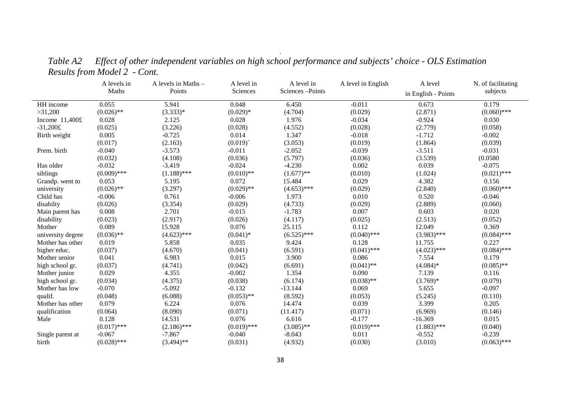|                   | A levels in   | A levels in Maths - | A level in    | A level in      | A level in English | A level             | N. of facilitating |
|-------------------|---------------|---------------------|---------------|-----------------|--------------------|---------------------|--------------------|
|                   | Maths         | Points              | Sciences      | Sciences-Points |                    | in English - Points | subjects           |
| HH income         | 0.055         | 5.941               | 0.048         | 6.450           | $-0.011$           | 0.673               | 0.179              |
| >31,200           | $(0.026)$ **  | $(3.333)*$          | $(0.029)*$    | (4.704)         | (0.029)            | (2.871)             | $(0.060)$ ***      |
| Income $11,400f$  | 0.028         | 2.125               | 0.028         | 1.976           | $-0.034$           | $-0.924$            | 0.030              |
| $-31,200$ £       | (0.025)       | (3.226)             | (0.028)       | (4.552)         | (0.028)            | (2.779)             | (0.058)            |
| Birth weight      | 0.005         | $-0.725$            | 0.014         | 1.347           | $-0.018$           | $-1.712$            | $-0.002$           |
|                   | (0.017)       | (2.163)             | (0.019)       | (3.053)         | (0.019)            | (1.864)             | (0.039)            |
| Prem. birth       | $-0.040$      | $-3.573$            | $-0.011$      | $-2.052$        | $-0.039$           | $-3.511$            | $-0.031$           |
|                   | (0.032)       | (4.108)             | (0.036)       | (5.797)         | (0.036)            | (3.539)             | (0.0580)           |
| Has older         | $-0.032$      | $-3.419$            | $-0.024$      | $-4.230$        | 0.002              | 0.039               | $-0.075$           |
| siblings          | $(0.009)$ *** | $(1.188)$ ***       | $(0.010)$ **  | $(1.677)$ **    | (0.010)            | (1.024)             | $(0.021)$ ***      |
| Grandp. went to   | 0.053         | 5.195               | 0.072         | 15.484          | 0.029              | 4.382               | 0.156              |
| university        | $(0.026)$ **  | (3.297)             | $(0.029)$ **  | $(4.653)$ ***   | (0.029)            | (2.840)             | $(0.060)$ ***      |
| Child has         | $-0.006$      | 0.761               | $-0.006$      | 1.973           | 0.010              | 0.520               | $-0.046$           |
| disabilty         | (0.026)       | (3.354)             | (0.029)       | (4.733)         | (0.029)            | (2.889)             | (0.060)            |
| Main parent has   | 0.008         | 2.701               | $-0.015$      | $-1.783$        | 0.007              | 0.603               | 0.020              |
| disability        | (0.023)       | (2.917)             | (0.026)       | (4.117)         | (0.025)            | (2.513)             | (0.052)            |
| Mother            | 0.089         | 15.928              | 0.076         | 25.115          | 0.112              | 12.049              | 0.369              |
| university degree | $(0.036)$ **  | $(4.623)$ ***       | $(0.041)^*$   | $(6.525)$ ***   | $(0.040)$ ***      | $(3.983)$ ***       | $(0.084)$ ***      |
| Mother has other  | 0.019         | 5.858               | 0.035         | 9.424           | 0.128              | 11.755              | 0.227              |
| higher educ.      | (0.037)       | (4.670)             | (0.041)       | (6.591)         | $(0.041)$ ***      | $(4.023)$ ***       | $(0.084)$ ***      |
| Mother senior     | 0.041         | 6.983               | 0.015         | 3.900           | 0.086              | 7.554               | 0.179              |
| high school gr.   | (0.037)       | (4.741)             | (0.042)       | (6.691)         | $(0.041)$ **       | $(4.084)*$          | $(0.085)$ **       |
| Mother junior     | 0.029         | 4.355               | $-0.002$      | 1.354           | 0.090              | 7.139               | 0.116              |
| high school gr.   | (0.034)       | (4.375)             | (0.038)       | (6.174)         | $(0.038)$ **       | $(3.769)*$          | (0.079)            |
| Mother has low    | $-0.070$      | $-5.092$            | $-0.132$      | $-13.144$       | 0.069              | 5.655               | $-0.097$           |
| qualif.           | (0.048)       | (6.088)             | $(0.053)$ **  | (8.592)         | (0.053)            | (5.245)             | (0.110)            |
| Mother has other  | 0.079         | 6.224               | 0.076         | 14.474          | 0.039              | 3.399               | 0.205              |
| qualification     | (0.064)       | (8.090)             | (0.071)       | (11.417)        | (0.071)            | (6.969)             | (0.146)            |
| Male              | 0.128         | 14.531              | 0.076         | 6.616           | $-0.177$           | $-16.369$           | 0.015              |
|                   | $(0.017)$ *** | $(2.186)$ ***       | $(0.019)$ *** | $(3.085)$ **    | $(0.019)$ ***      | $(1.883)$ ***       | (0.040)            |
| Single parent at  | $-0.067$      | $-7.867$            | $-0.040$      | $-8.043$        | 0.011              | $-0.552$            | $-0.239$           |
| birth             | $(0.028)$ *** | $(3.494)$ **        | (0.031)       | (4.932)         | (0.030)            | (3.010)             | $(0.063)$ ***      |

*Table A2 Effect of other independent variables on high school performance and subjects' choice - OLS Estimation Results from Model 2 - Cont.*

.